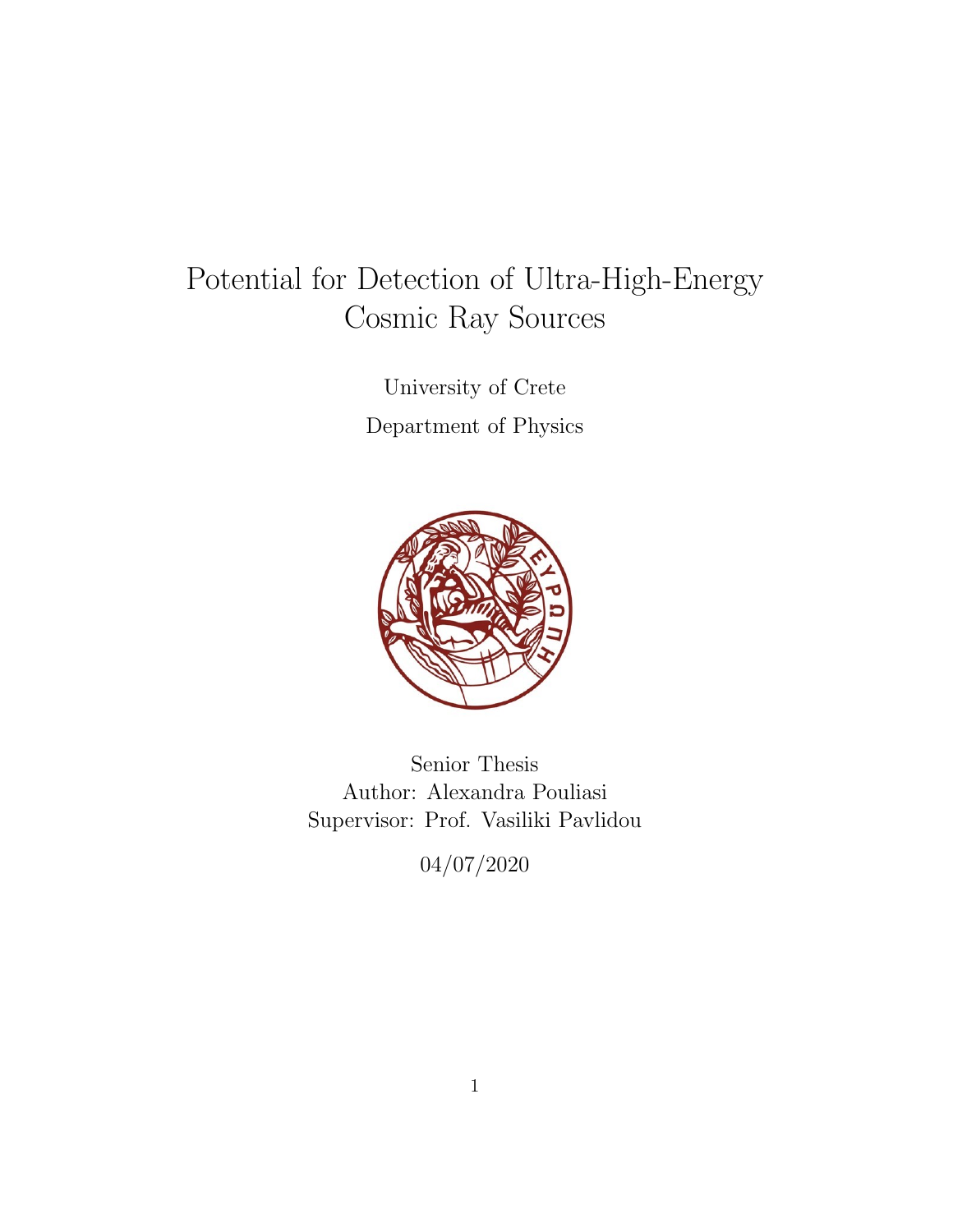# Potential for Detection of Ultra-High-Energy Cosmic Ray Sources

University of Crete Department of Physics



Senior Thesis Author: Alexandra Pouliasi Supervisor: Prof. Vasiliki Pavlidou

04/07/2020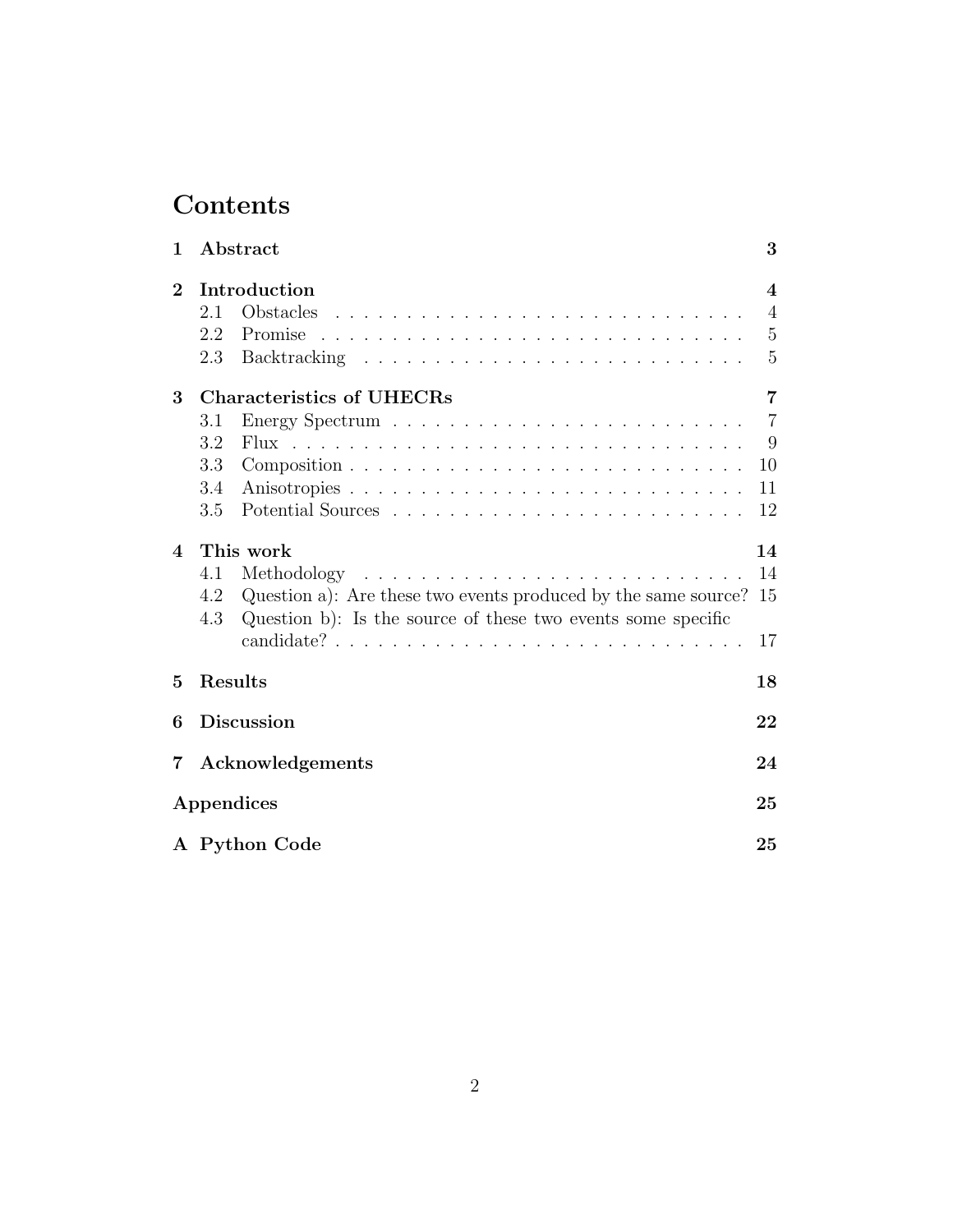# Contents

| 1                      | Abstract                                                              | 3                       |  |  |  |
|------------------------|-----------------------------------------------------------------------|-------------------------|--|--|--|
| $\bf{2}$               | Introduction                                                          | $\overline{\mathbf{4}}$ |  |  |  |
|                        | 2.1                                                                   | $\overline{4}$          |  |  |  |
|                        | Promise<br>2.2                                                        | $\overline{5}$          |  |  |  |
|                        | 2.3                                                                   | 5                       |  |  |  |
| 3                      | <b>Characteristics of UHECRs</b>                                      | 7                       |  |  |  |
|                        | 3.1                                                                   | $\overline{7}$          |  |  |  |
|                        | 3.2                                                                   | 9                       |  |  |  |
|                        | 3.3                                                                   | 10                      |  |  |  |
|                        | 3.4                                                                   | 11                      |  |  |  |
|                        | 3.5                                                                   | 12                      |  |  |  |
| $\boldsymbol{\Lambda}$ | This work                                                             | 14                      |  |  |  |
|                        | 4.1                                                                   | 14                      |  |  |  |
|                        | Question a): Are these two events produced by the same source?<br>4.2 | 15                      |  |  |  |
|                        | Question b): Is the source of these two events some specific<br>4.3   |                         |  |  |  |
|                        |                                                                       | 17                      |  |  |  |
| $\overline{5}$         | Results                                                               | 18                      |  |  |  |
| 6                      | <b>Discussion</b><br>22                                               |                         |  |  |  |
| 7                      | Acknowledgements                                                      |                         |  |  |  |
| Appendices             |                                                                       |                         |  |  |  |
|                        | A Python Code                                                         |                         |  |  |  |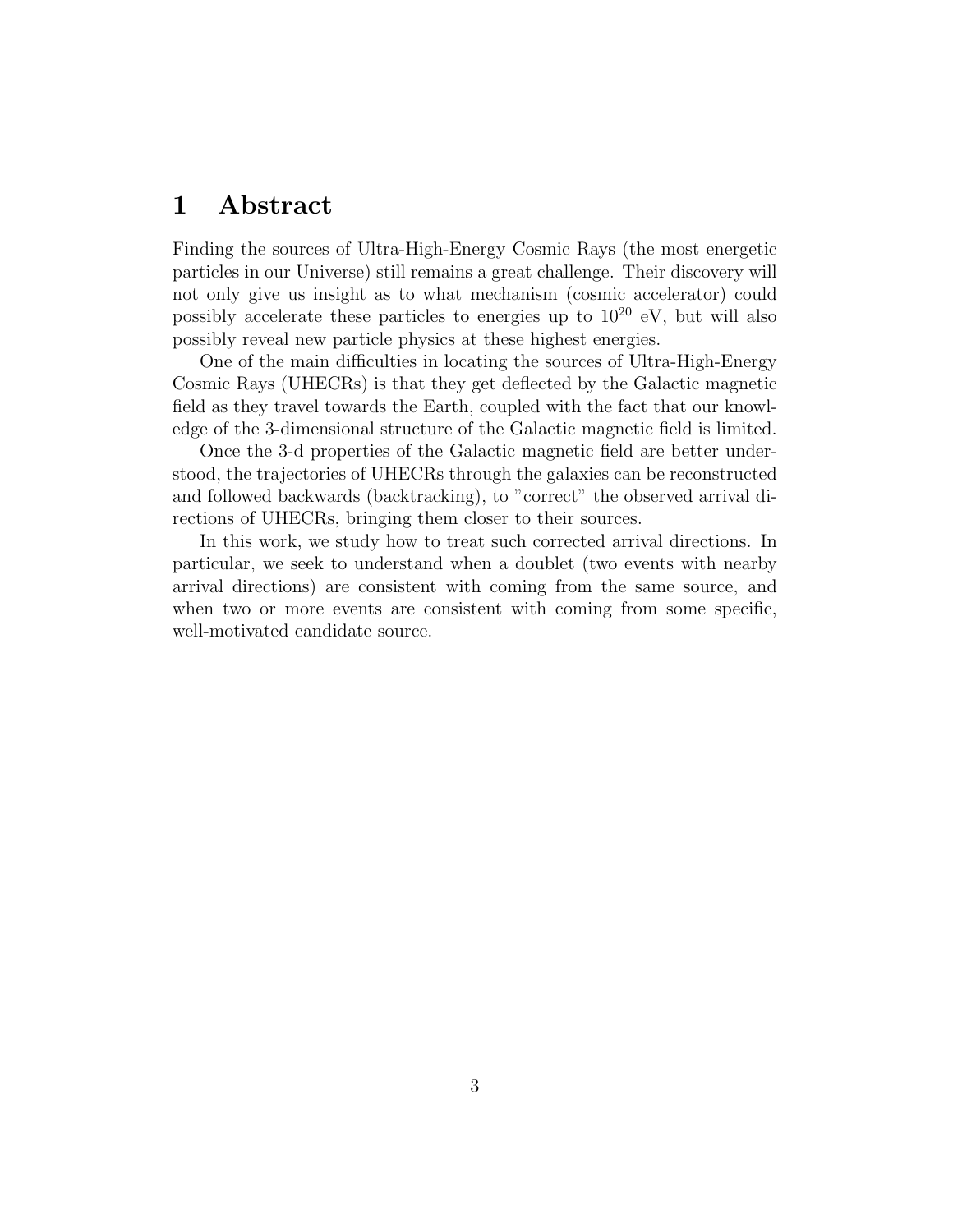## <span id="page-2-0"></span>1 Abstract

Finding the sources of Ultra-High-Energy Cosmic Rays (the most energetic particles in our Universe) still remains a great challenge. Their discovery will not only give us insight as to what mechanism (cosmic accelerator) could possibly accelerate these particles to energies up to  $10^{20}$  eV, but will also possibly reveal new particle physics at these highest energies.

One of the main difficulties in locating the sources of Ultra-High-Energy Cosmic Rays (UHECRs) is that they get deflected by the Galactic magnetic field as they travel towards the Earth, coupled with the fact that our knowledge of the 3-dimensional structure of the Galactic magnetic field is limited.

Once the 3-d properties of the Galactic magnetic field are better understood, the trajectories of UHECRs through the galaxies can be reconstructed and followed backwards (backtracking), to "correct" the observed arrival directions of UHECRs, bringing them closer to their sources.

In this work, we study how to treat such corrected arrival directions. In particular, we seek to understand when a doublet (two events with nearby arrival directions) are consistent with coming from the same source, and when two or more events are consistent with coming from some specific, well-motivated candidate source.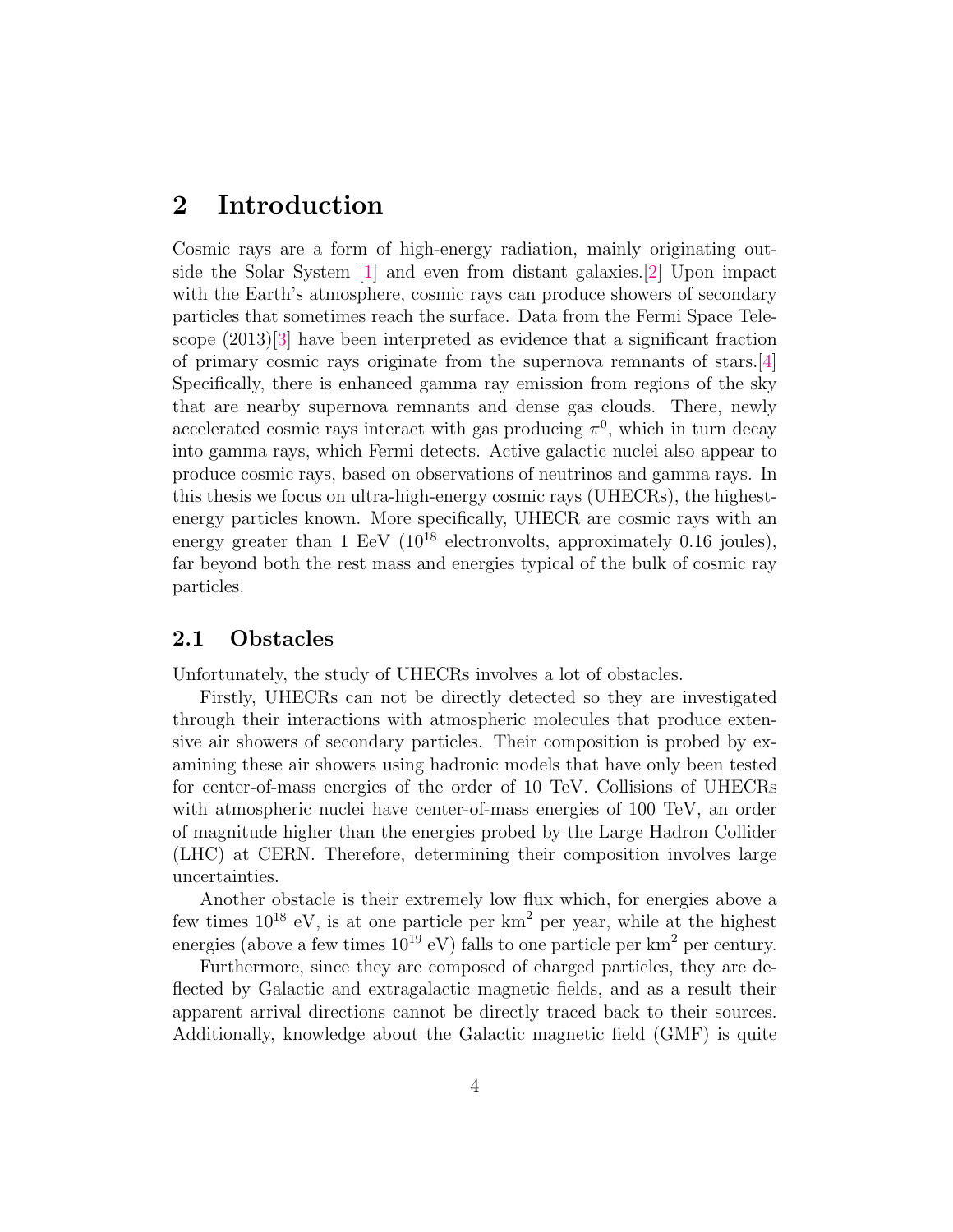## <span id="page-3-0"></span>2 Introduction

Cosmic rays are a form of high-energy radiation, mainly originating outside the Solar System [\[1\]](#page-31-0) and even from distant galaxies.[\[2\]](#page-31-1) Upon impact with the Earth's atmosphere, cosmic rays can produce showers of secondary particles that sometimes reach the surface. Data from the Fermi Space Telescope (2013)[\[3\]](#page-31-2) have been interpreted as evidence that a significant fraction of primary cosmic rays originate from the supernova remnants of stars.[\[4\]](#page-31-3) Specifically, there is enhanced gamma ray emission from regions of the sky that are nearby supernova remnants and dense gas clouds. There, newly accelerated cosmic rays interact with gas producing  $\pi^0$ , which in turn decay into gamma rays, which Fermi detects. Active galactic nuclei also appear to produce cosmic rays, based on observations of neutrinos and gamma rays. In this thesis we focus on ultra-high-energy cosmic rays (UHECRs), the highestenergy particles known. More specifically, UHECR are cosmic rays with an energy greater than  $1 \text{ EeV } (10^{18} \text{ electrons})$ , approximately 0.16 joules), far beyond both the rest mass and energies typical of the bulk of cosmic ray particles.

#### <span id="page-3-1"></span>2.1 Obstacles

Unfortunately, the study of UHECRs involves a lot of obstacles.

Firstly, UHECRs can not be directly detected so they are investigated through their interactions with atmospheric molecules that produce extensive air showers of secondary particles. Their composition is probed by examining these air showers using hadronic models that have only been tested for center-of-mass energies of the order of 10 TeV. Collisions of UHECRs with atmospheric nuclei have center-of-mass energies of 100 TeV, an order of magnitude higher than the energies probed by the Large Hadron Collider (LHC) at CERN. Therefore, determining their composition involves large uncertainties.

Another obstacle is their extremely low flux which, for energies above a few times  $10^{18}$  eV, is at one particle per  $km^2$  per year, while at the highest energies (above a few times  $10^{19}$  eV) falls to one particle per km<sup>2</sup> per century.

Furthermore, since they are composed of charged particles, they are deflected by Galactic and extragalactic magnetic fields, and as a result their apparent arrival directions cannot be directly traced back to their sources. Additionally, knowledge about the Galactic magnetic field (GMF) is quite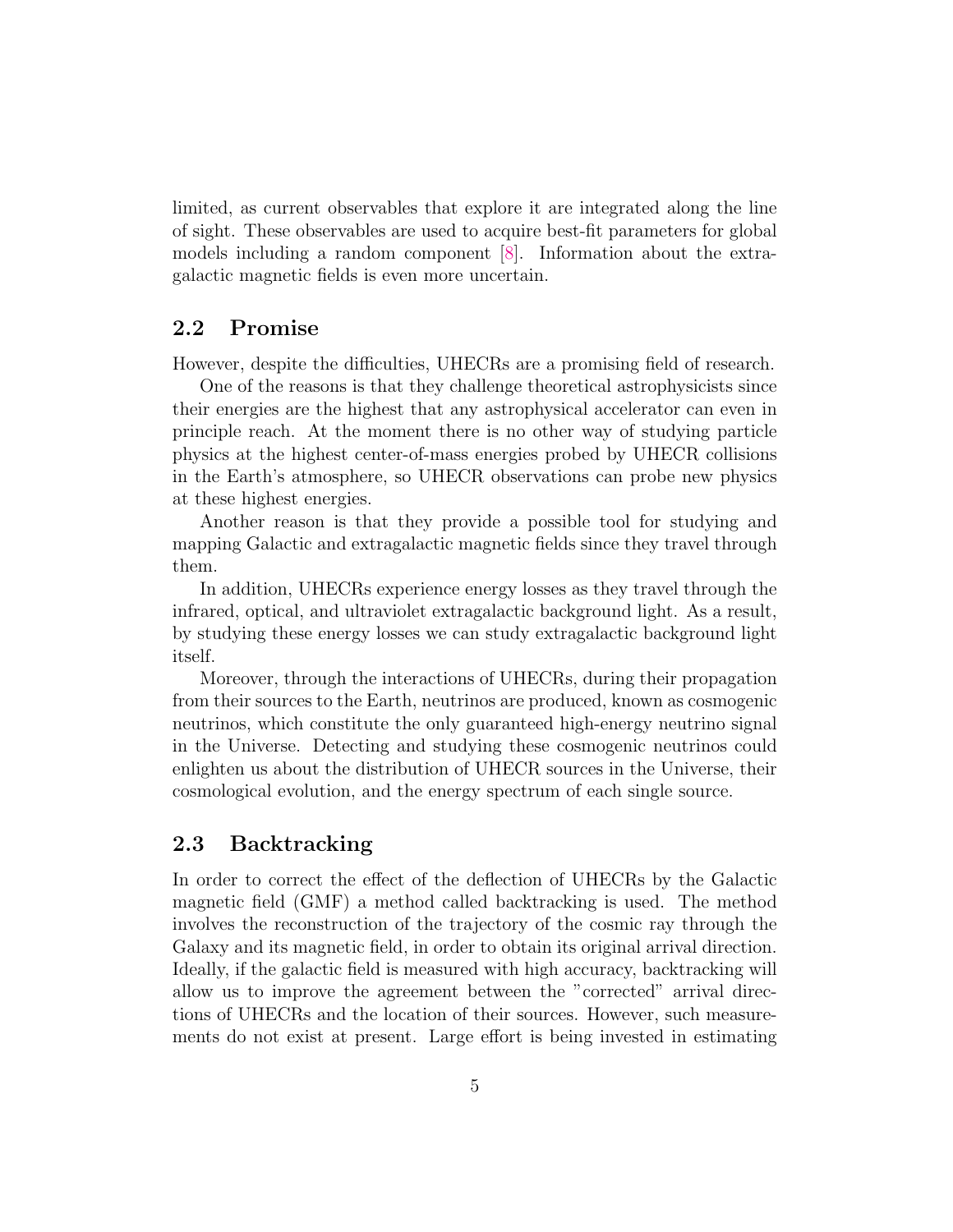limited, as current observables that explore it are integrated along the line of sight. These observables are used to acquire best-fit parameters for global models including a random component [\[8\]](#page-31-4). Information about the extragalactic magnetic fields is even more uncertain.

#### <span id="page-4-0"></span>2.2 Promise

However, despite the difficulties, UHECRs are a promising field of research.

One of the reasons is that they challenge theoretical astrophysicists since their energies are the highest that any astrophysical accelerator can even in principle reach. At the moment there is no other way of studying particle physics at the highest center-of-mass energies probed by UHECR collisions in the Earth's atmosphere, so UHECR observations can probe new physics at these highest energies.

Another reason is that they provide a possible tool for studying and mapping Galactic and extragalactic magnetic fields since they travel through them.

In addition, UHECRs experience energy losses as they travel through the infrared, optical, and ultraviolet extragalactic background light. As a result, by studying these energy losses we can study extragalactic background light itself.

Moreover, through the interactions of UHECRs, during their propagation from their sources to the Earth, neutrinos are produced, known as cosmogenic neutrinos, which constitute the only guaranteed high-energy neutrino signal in the Universe. Detecting and studying these cosmogenic neutrinos could enlighten us about the distribution of UHECR sources in the Universe, their cosmological evolution, and the energy spectrum of each single source.

#### <span id="page-4-1"></span>2.3 Backtracking

In order to correct the effect of the deflection of UHECRs by the Galactic magnetic field (GMF) a method called backtracking is used. The method involves the reconstruction of the trajectory of the cosmic ray through the Galaxy and its magnetic field, in order to obtain its original arrival direction. Ideally, if the galactic field is measured with high accuracy, backtracking will allow us to improve the agreement between the "corrected" arrival directions of UHECRs and the location of their sources. However, such measurements do not exist at present. Large effort is being invested in estimating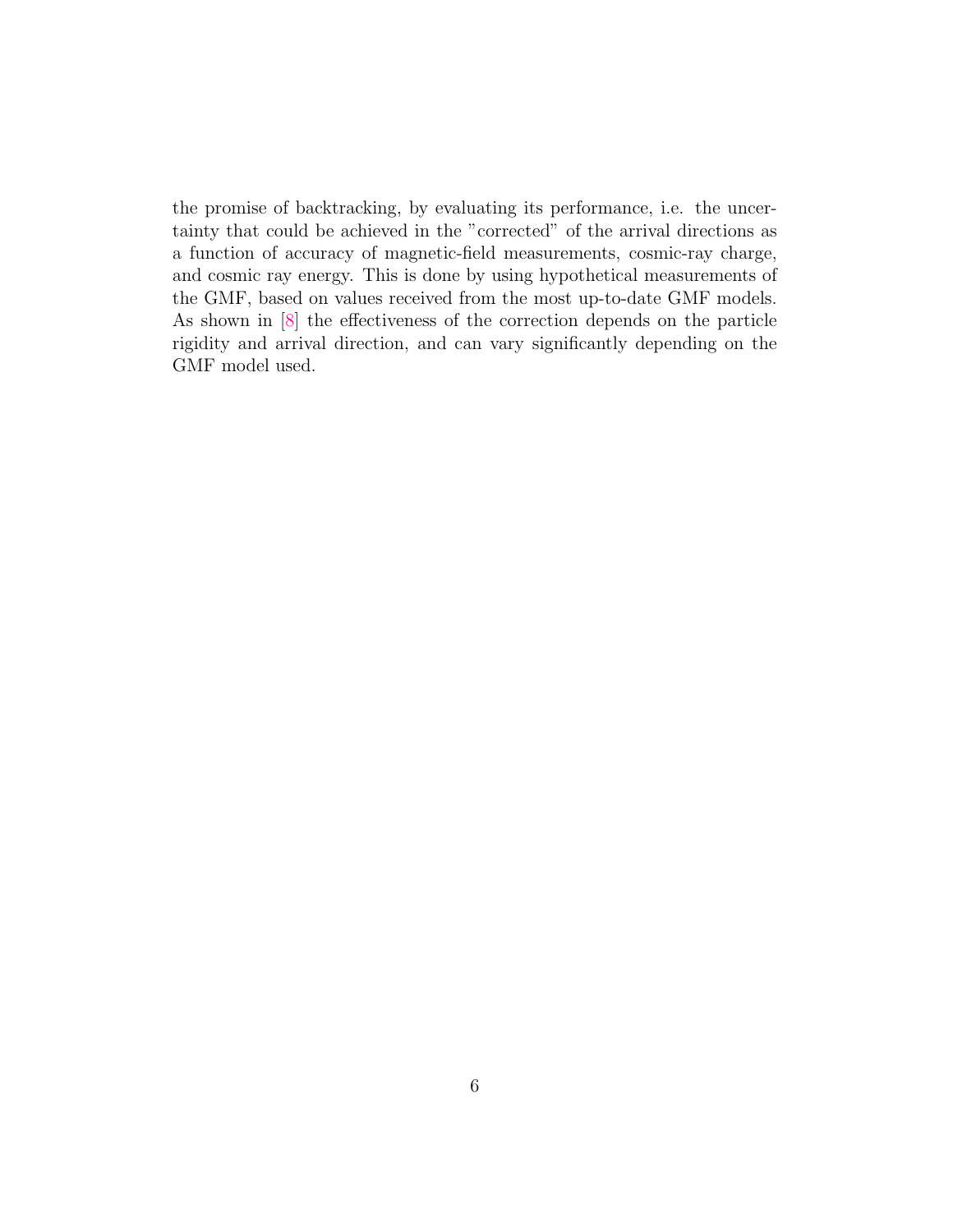the promise of backtracking, by evaluating its performance, i.e. the uncertainty that could be achieved in the "corrected" of the arrival directions as a function of accuracy of magnetic-field measurements, cosmic-ray charge, and cosmic ray energy. This is done by using hypothetical measurements of the GMF, based on values received from the most up-to-date GMF models. As shown in [\[8\]](#page-31-4) the effectiveness of the correction depends on the particle rigidity and arrival direction, and can vary significantly depending on the GMF model used.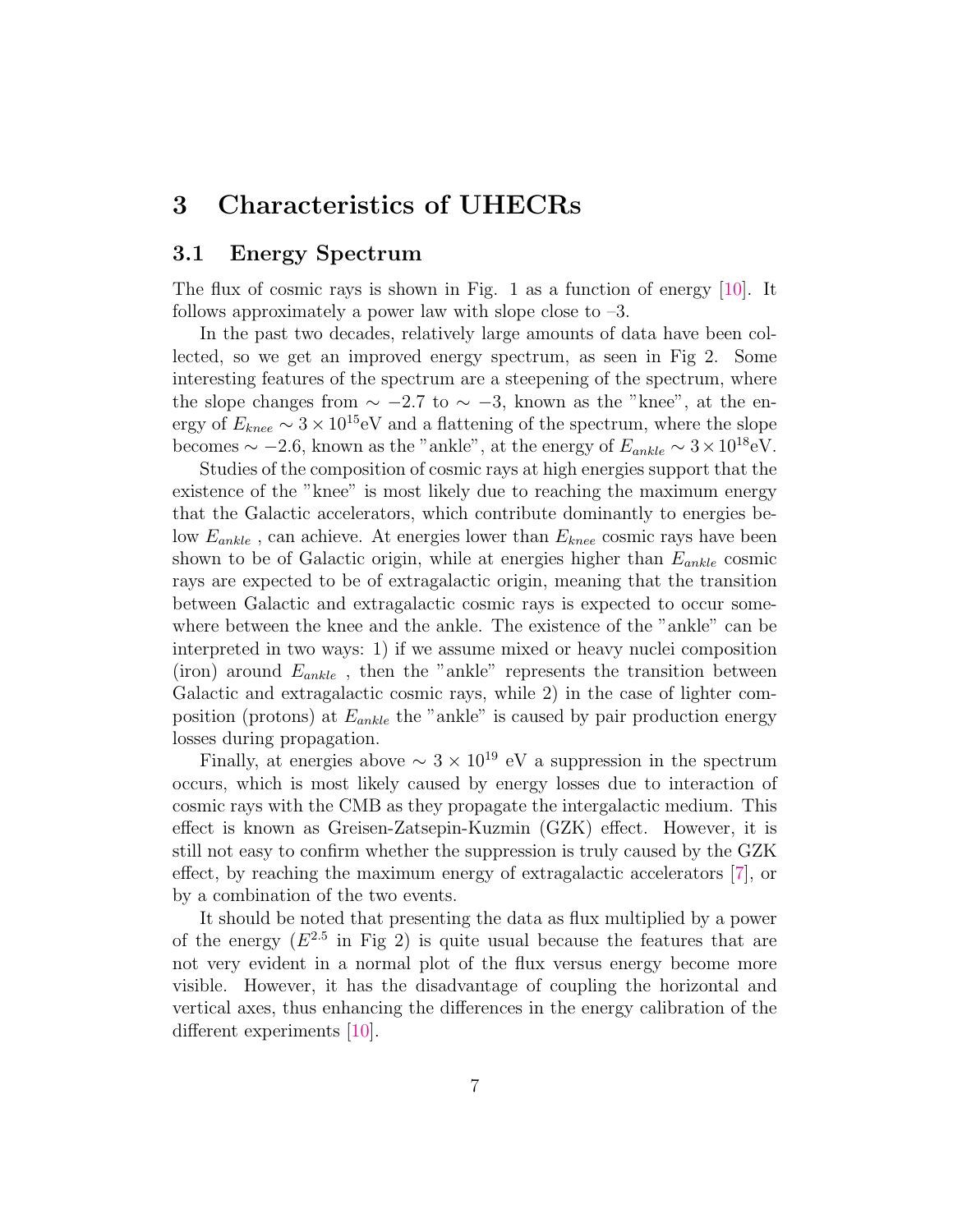## <span id="page-6-0"></span>3 Characteristics of UHECRs

#### <span id="page-6-1"></span>3.1 Energy Spectrum

The flux of cosmic rays is shown in Fig. [1](#page-7-0) as a function of energy [\[10\]](#page-31-5). It follows approximately a power law with slope close to  $-3$ .

In the past two decades, relatively large amounts of data have been collected, so we get an improved energy spectrum, as seen in Fig [2.](#page-8-1) Some interesting features of the spectrum are a steepening of the spectrum, where the slope changes from  $\sim -2.7$  to  $\sim -3$ , known as the "knee", at the energy of  $E_{knee} \sim 3 \times 10^{15}$ eV and a flattening of the spectrum, where the slope becomes  $\sim -2.6$ , known as the "ankle", at the energy of  $E_{ankle} \sim 3 \times 10^{18} \text{eV}$ .

Studies of the composition of cosmic rays at high energies support that the existence of the "knee" is most likely due to reaching the maximum energy that the Galactic accelerators, which contribute dominantly to energies below  $E_{ankle}$ , can achieve. At energies lower than  $E_{knee}$  cosmic rays have been shown to be of Galactic origin, while at energies higher than  $E_{ankle}$  cosmic rays are expected to be of extragalactic origin, meaning that the transition between Galactic and extragalactic cosmic rays is expected to occur somewhere between the knee and the ankle. The existence of the "ankle" can be interpreted in two ways: 1) if we assume mixed or heavy nuclei composition (iron) around  $E_{ankle}$ , then the "ankle" represents the transition between Galactic and extragalactic cosmic rays, while 2) in the case of lighter composition (protons) at  $E_{ankle}$  the "ankle" is caused by pair production energy losses during propagation.

Finally, at energies above  $\sim 3 \times 10^{19}$  eV a suppression in the spectrum occurs, which is most likely caused by energy losses due to interaction of cosmic rays with the CMB as they propagate the intergalactic medium. This effect is known as Greisen-Zatsepin-Kuzmin (GZK) effect. However, it is still not easy to confirm whether the suppression is truly caused by the GZK effect, by reaching the maximum energy of extragalactic accelerators [\[7\]](#page-31-6), or by a combination of the two events.

It should be noted that presenting the data as flux multiplied by a power of the energy  $(E^{2.5}$  in Fig [2\)](#page-8-1) is quite usual because the features that are not very evident in a normal plot of the flux versus energy become more visible. However, it has the disadvantage of coupling the horizontal and vertical axes, thus enhancing the differences in the energy calibration of the different experiments [\[10\]](#page-31-5).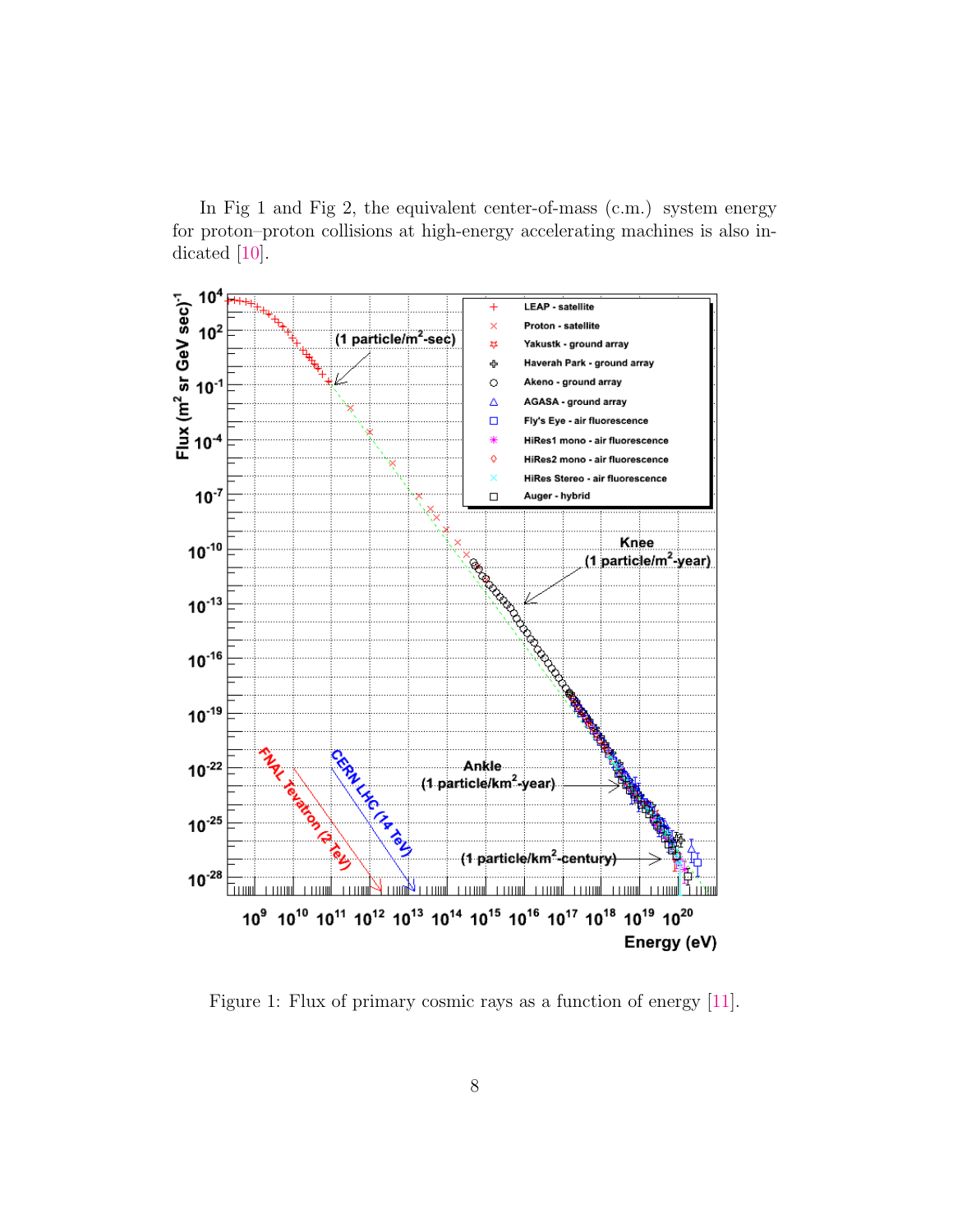In Fig [1](#page-7-0) and Fig [2,](#page-8-1) the equivalent center-of-mass (c.m.) system energy for proton–proton collisions at high-energy accelerating machines is also indicated [\[10\]](#page-31-5).



<span id="page-7-0"></span>Figure 1: Flux of primary cosmic rays as a function of energy [\[11\]](#page-32-0).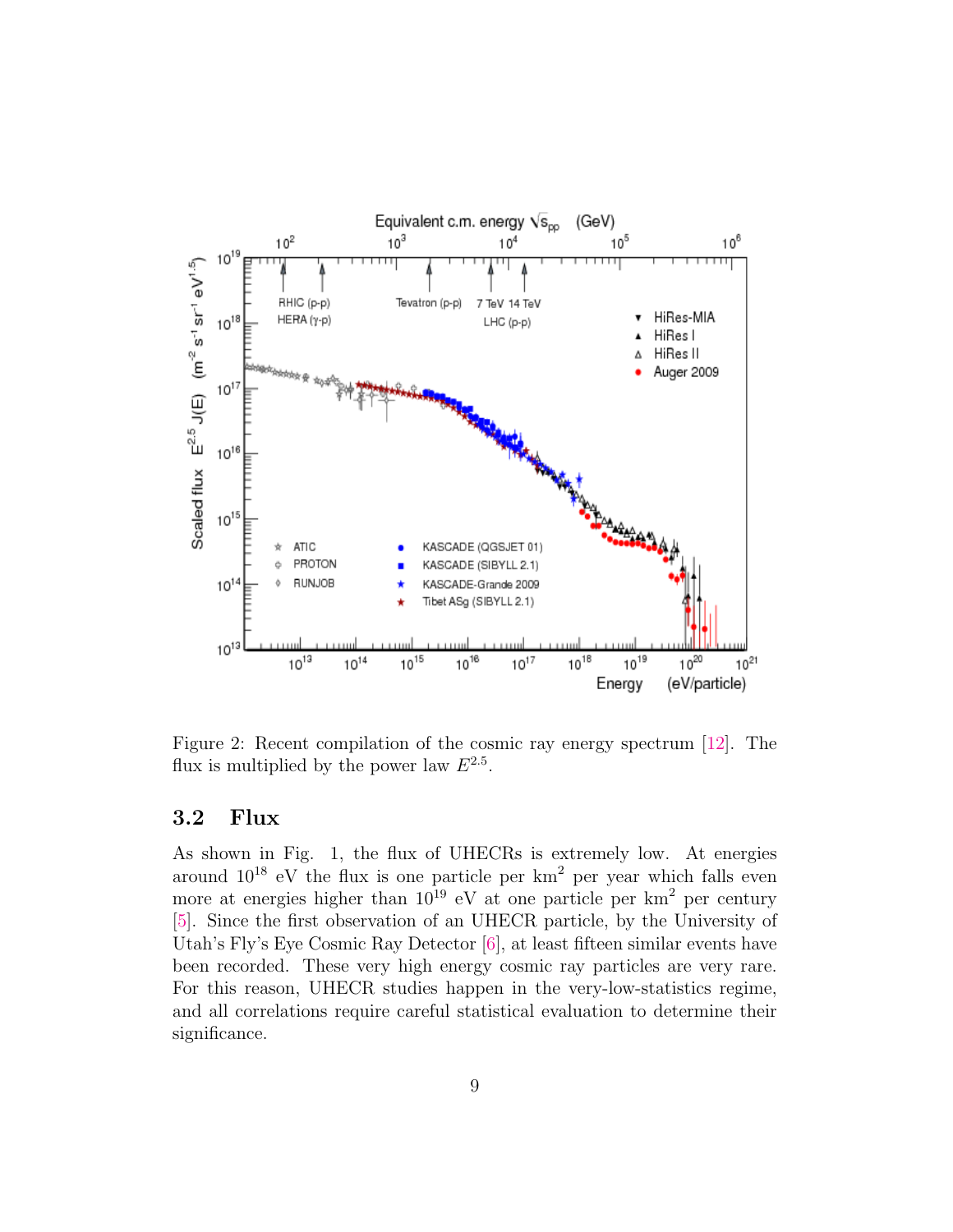

<span id="page-8-1"></span>Figure 2: Recent compilation of the cosmic ray energy spectrum [\[12\]](#page-32-1). The flux is multiplied by the power law  $E^{2.5}$ .

#### <span id="page-8-0"></span>3.2 Flux

As shown in Fig. [1,](#page-7-0) the flux of UHECRs is extremely low. At energies around  $10^{18}$  eV the flux is one particle per  $km^2$  per year which falls even more at energies higher than  $10^{19}$  eV at one particle per km<sup>2</sup> per century [\[5\]](#page-31-7). Since the first observation of an UHECR particle, by the University of Utah's Fly's Eye Cosmic Ray Detector [\[6\]](#page-31-8), at least fifteen similar events have been recorded. These very high energy cosmic ray particles are very rare. For this reason, UHECR studies happen in the very-low-statistics regime, and all correlations require careful statistical evaluation to determine their significance.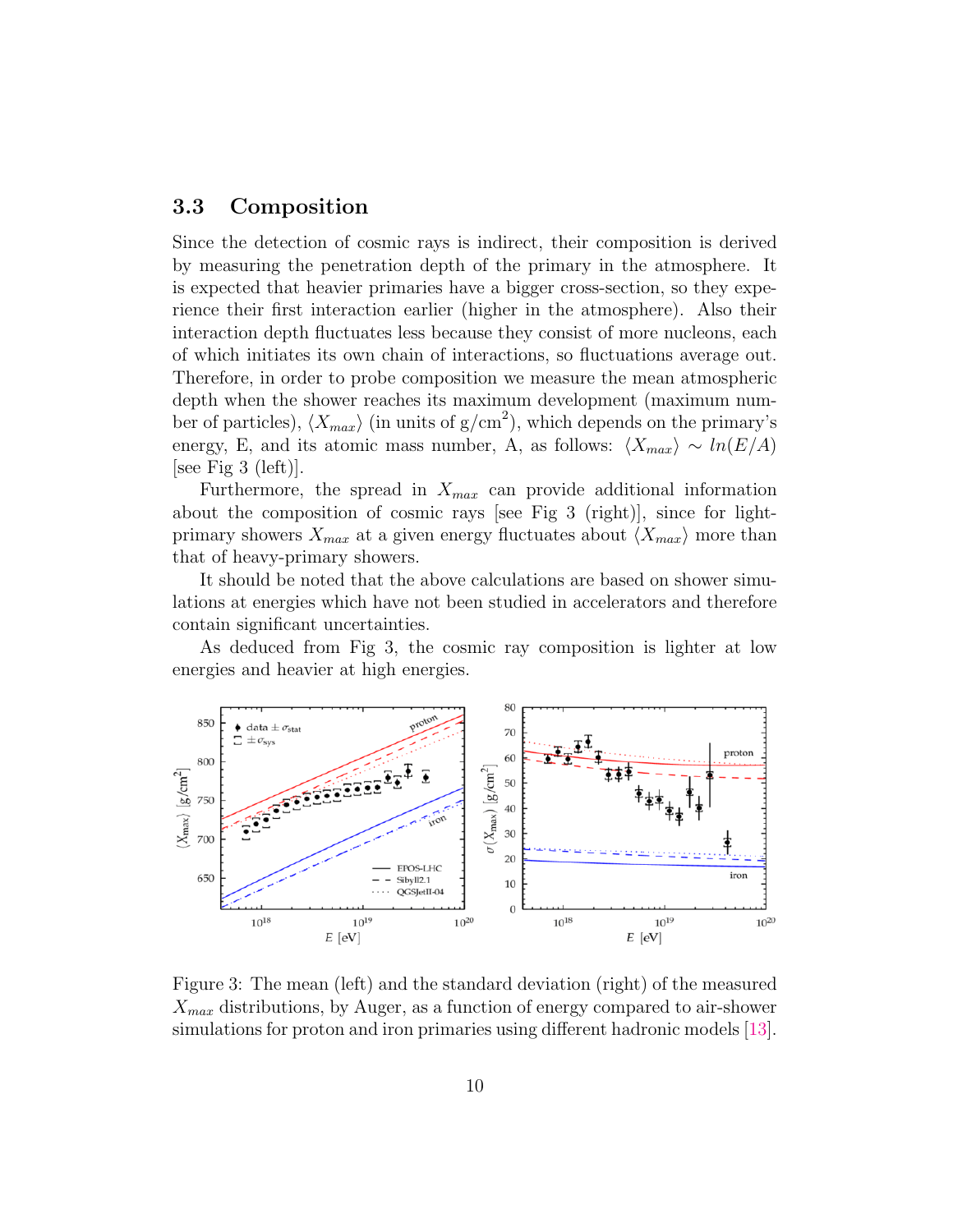#### <span id="page-9-0"></span>3.3 Composition

Since the detection of cosmic rays is indirect, their composition is derived by measuring the penetration depth of the primary in the atmosphere. It is expected that heavier primaries have a bigger cross-section, so they experience their first interaction earlier (higher in the atmosphere). Also their interaction depth fluctuates less because they consist of more nucleons, each of which initiates its own chain of interactions, so fluctuations average out. Therefore, in order to probe composition we measure the mean atmospheric depth when the shower reaches its maximum development (maximum number of particles),  $\langle X_{max} \rangle$  (in units of g/cm<sup>2</sup>), which depends on the primary's energy, E, and its atomic mass number, A, as follows:  $\langle X_{max} \rangle \sim ln(E/A)$  $|see Fig 3 (left).$  $|see Fig 3 (left).$  $|see Fig 3 (left).$ 

Furthermore, the spread in  $X_{max}$  can provide additional information about the composition of cosmic rays [see Fig [3](#page-9-1) (right)], since for lightprimary showers  $X_{max}$  at a given energy fluctuates about  $\langle X_{max} \rangle$  more than that of heavy-primary showers.

It should be noted that the above calculations are based on shower simulations at energies which have not been studied in accelerators and therefore contain significant uncertainties.

As deduced from Fig [3,](#page-9-1) the cosmic ray composition is lighter at low energies and heavier at high energies.



<span id="page-9-1"></span>Figure 3: The mean (left) and the standard deviation (right) of the measured  $X_{max}$  distributions, by Auger, as a function of energy compared to air-shower simulations for proton and iron primaries using different hadronic models [\[13\]](#page-32-2).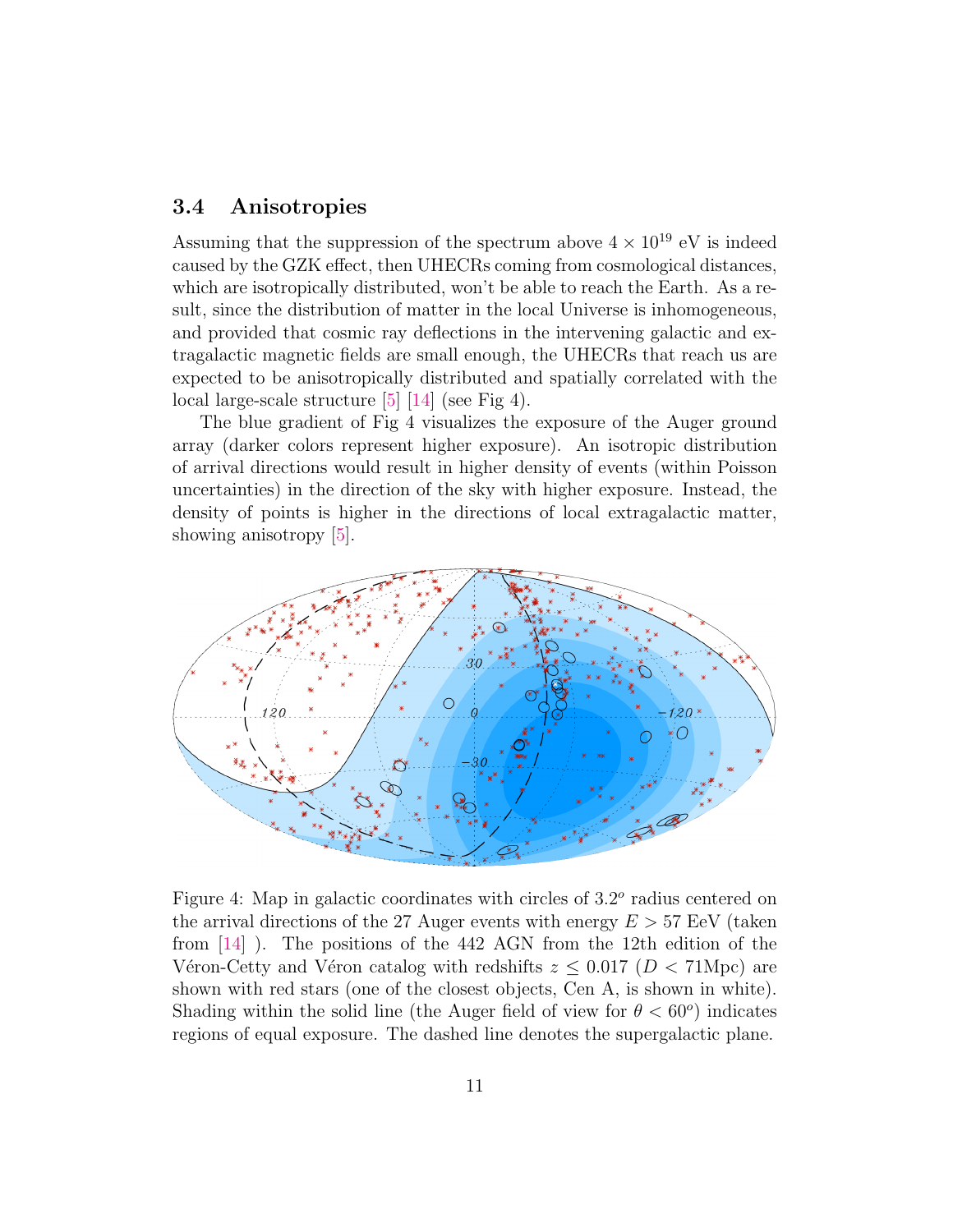#### <span id="page-10-0"></span>3.4 Anisotropies

Assuming that the suppression of the spectrum above  $4 \times 10^{19}$  eV is indeed caused by the GZK effect, then UHECRs coming from cosmological distances, which are isotropically distributed, won't be able to reach the Earth. As a result, since the distribution of matter in the local Universe is inhomogeneous, and provided that cosmic ray deflections in the intervening galactic and extragalactic magnetic fields are small enough, the UHECRs that reach us are expected to be anisotropically distributed and spatially correlated with the local large-scale structure [\[5\]](#page-31-7) [\[14\]](#page-32-3) (see Fig [4\)](#page-10-1).

The blue gradient of Fig [4](#page-10-1) visualizes the exposure of the Auger ground array (darker colors represent higher exposure). An isotropic distribution of arrival directions would result in higher density of events (within Poisson uncertainties) in the direction of the sky with higher exposure. Instead, the density of points is higher in the directions of local extragalactic matter, showing anisotropy [\[5\]](#page-31-7).



<span id="page-10-1"></span>Figure 4: Map in galactic coordinates with circles of  $3.2^{\circ}$  radius centered on the arrival directions of the 27 Auger events with energy  $E > 57$  EeV (taken from [\[14\]](#page-32-3) ). The positions of the 442 AGN from the 12th edition of the Véron-Cetty and Véron catalog with redshifts  $z \leq 0.017$  ( $D < 71$ Mpc) are shown with red stars (one of the closest objects, Cen A, is shown in white). Shading within the solid line (the Auger field of view for  $\theta < 60^{\circ}$ ) indicates regions of equal exposure. The dashed line denotes the supergalactic plane.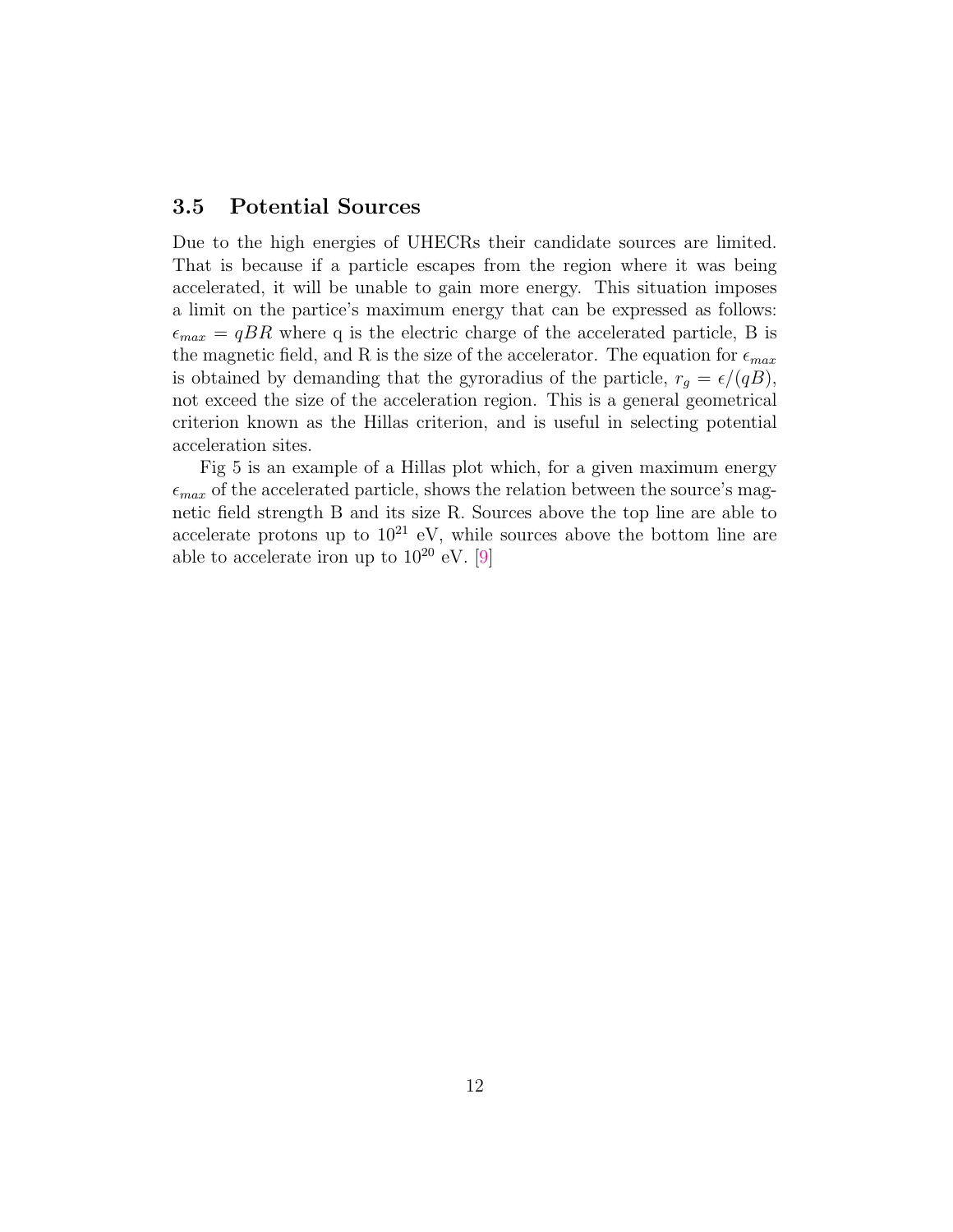#### <span id="page-11-0"></span>3.5 Potential Sources

Due to the high energies of UHECRs their candidate sources are limited. That is because if a particle escapes from the region where it was being accelerated, it will be unable to gain more energy. This situation imposes a limit on the partice's maximum energy that can be expressed as follows:  $\epsilon_{max} = qBR$  where q is the electric charge of the accelerated particle, B is the magnetic field, and R is the size of the accelerator. The equation for  $\epsilon_{max}$ is obtained by demanding that the gyroradius of the particle,  $r_g = \epsilon/(qB)$ , not exceed the size of the acceleration region. This is a general geometrical criterion known as the Hillas criterion, and is useful in selecting potential acceleration sites.

Fig [5](#page-12-0) is an example of a Hillas plot which, for a given maximum energy  $\epsilon_{max}$  of the accelerated particle, shows the relation between the source's magnetic field strength B and its size R. Sources above the top line are able to accelerate protons up to  $10^{21}$  eV, while sources above the bottom line are able to accelerate iron up to  $10^{20}$  eV. [\[9\]](#page-31-9)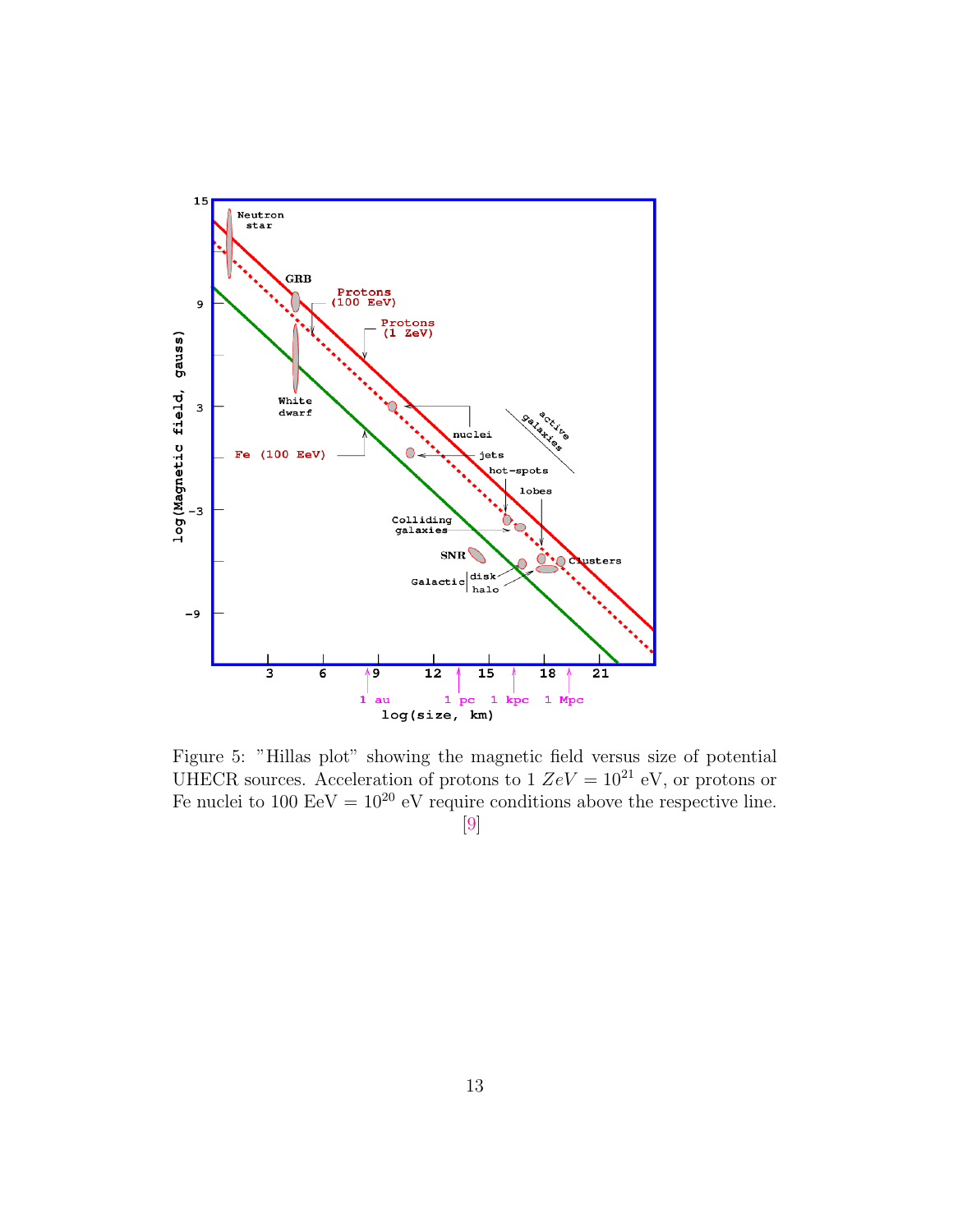

<span id="page-12-0"></span>Figure 5: "Hillas plot" showing the magnetic field versus size of potential UHECR sources. Acceleration of protons to  $1 \text{ } ZeV = 10^{21} \text{ eV}$ , or protons or Fe nuclei to 100 EeV =  $10^{20}$  eV require conditions above the respective line. [\[9\]](#page-31-9)

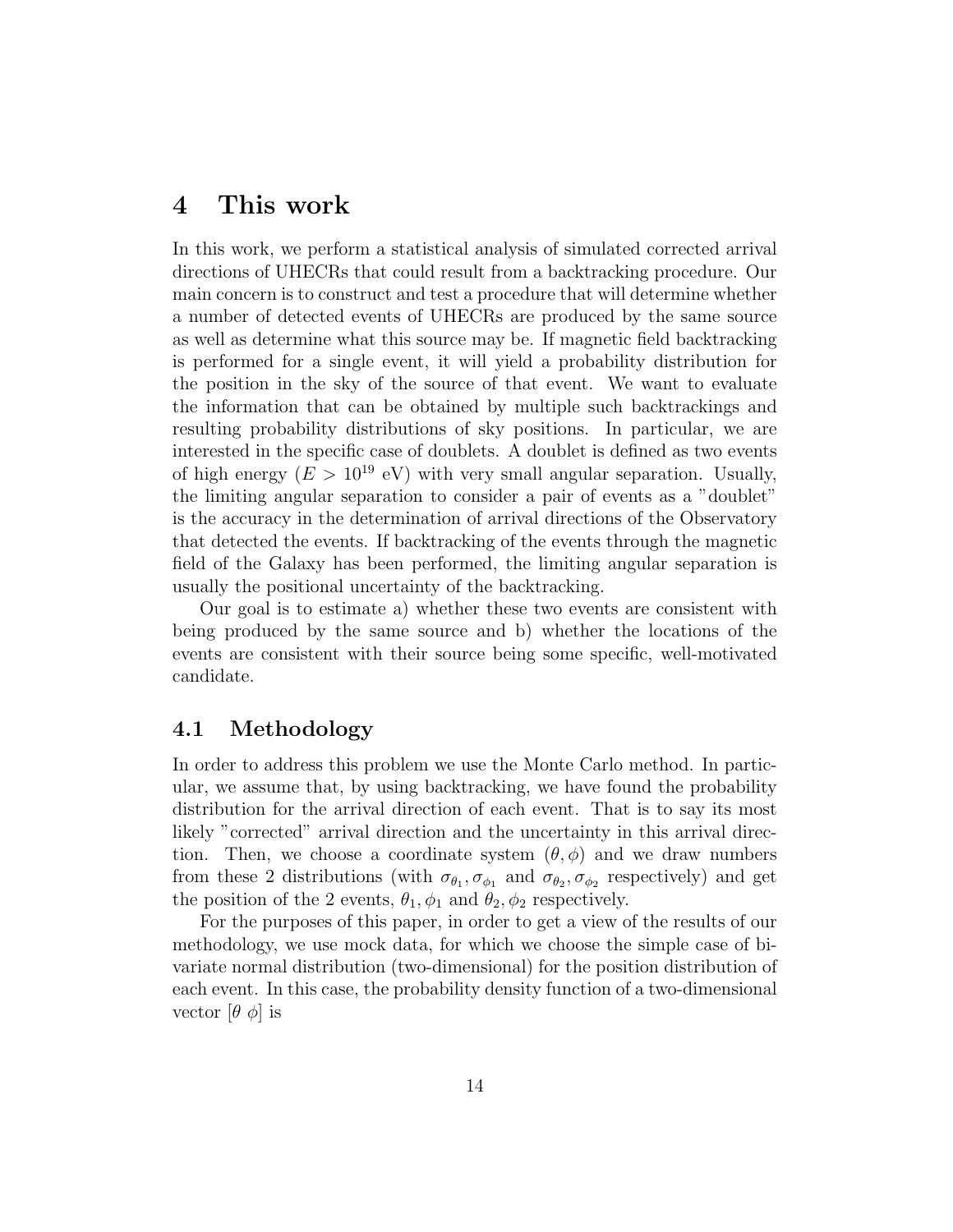## <span id="page-13-0"></span>4 This work

In this work, we perform a statistical analysis of simulated corrected arrival directions of UHECRs that could result from a backtracking procedure. Our main concern is to construct and test a procedure that will determine whether a number of detected events of UHECRs are produced by the same source as well as determine what this source may be. If magnetic field backtracking is performed for a single event, it will yield a probability distribution for the position in the sky of the source of that event. We want to evaluate the information that can be obtained by multiple such backtrackings and resulting probability distributions of sky positions. In particular, we are interested in the specific case of doublets. A doublet is defined as two events of high energy  $(E > 10^{19} \text{ eV})$  with very small angular separation. Usually, the limiting angular separation to consider a pair of events as a "doublet" is the accuracy in the determination of arrival directions of the Observatory that detected the events. If backtracking of the events through the magnetic field of the Galaxy has been performed, the limiting angular separation is usually the positional uncertainty of the backtracking.

Our goal is to estimate a) whether these two events are consistent with being produced by the same source and b) whether the locations of the events are consistent with their source being some specific, well-motivated candidate.

#### <span id="page-13-1"></span>4.1 Methodology

In order to address this problem we use the Monte Carlo method. In particular, we assume that, by using backtracking, we have found the probability distribution for the arrival direction of each event. That is to say its most likely "corrected" arrival direction and the uncertainty in this arrival direction. Then, we choose a coordinate system  $(\theta, \phi)$  and we draw numbers from these 2 distributions (with  $\sigma_{\theta_1}, \sigma_{\phi_1}$  and  $\sigma_{\theta_2}, \sigma_{\phi_2}$  respectively) and get the position of the 2 events,  $\theta_1$ ,  $\phi_1$  and  $\theta_2$ ,  $\phi_2$  respectively.

For the purposes of this paper, in order to get a view of the results of our methodology, we use mock data, for which we choose the simple case of bivariate normal distribution (two-dimensional) for the position distribution of each event. In this case, the probability density function of a two-dimensional vector  $[\theta \phi]$  is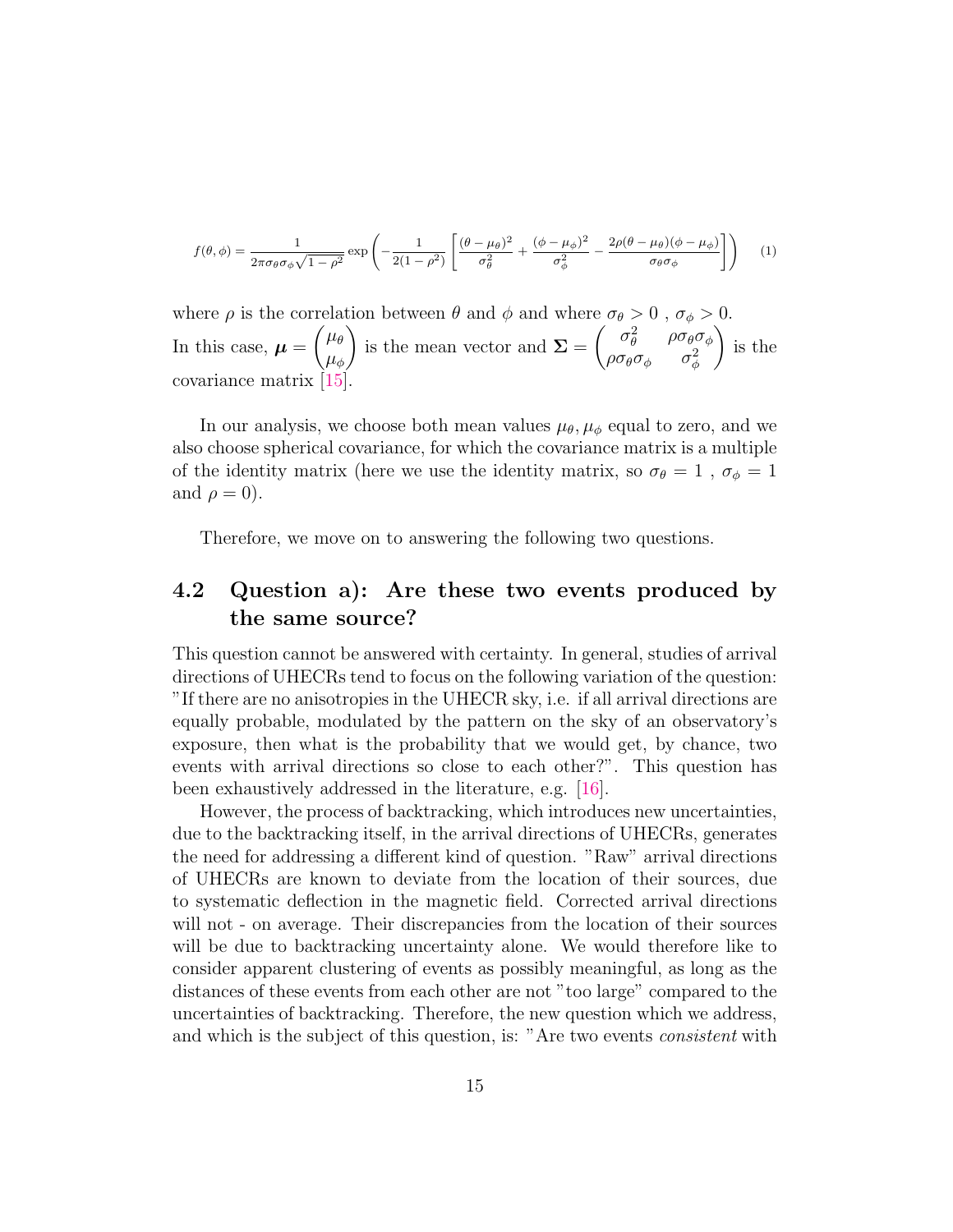<span id="page-14-1"></span>
$$
f(\theta,\phi) = \frac{1}{2\pi\sigma_{\theta}\sigma_{\phi}\sqrt{1-\rho^2}} \exp\left(-\frac{1}{2(1-\rho^2)}\left[\frac{(\theta-\mu_{\theta})^2}{\sigma_{\theta}^2} + \frac{(\phi-\mu_{\phi})^2}{\sigma_{\phi}^2} - \frac{2\rho(\theta-\mu_{\theta})(\phi-\mu_{\phi})}{\sigma_{\theta}\sigma_{\phi}}\right]\right) \tag{1}
$$

where  $\rho$  is the correlation between  $\theta$  and  $\phi$  and where  $\sigma_{\theta} > 0$ ,  $\sigma_{\phi} > 0$ . In this case,  $\mu =$  $\int \mu_{\theta}$  $\mu_{\phi}$  $\setminus$ is the mean vector and  $\Sigma =$  $\left( \begin{array}{cc} \sigma_\theta^2 & \rho \sigma_\theta \sigma_\phi \end{array} \right)$  $\rho\sigma_\theta\sigma_\phi=\sigma_\phi^2$  $\setminus$ is the covariance matrix 15

In our analysis, we choose both mean values  $\mu_{\theta}, \mu_{\phi}$  equal to zero, and we also choose spherical covariance, for which the covariance matrix is a multiple of the identity matrix (here we use the identity matrix, so  $\sigma_{\theta} = 1$ ,  $\sigma_{\phi} = 1$ and  $\rho = 0$ ).

Therefore, we move on to answering the following two questions.

### <span id="page-14-0"></span>4.2 Question a): Are these two events produced by the same source?

This question cannot be answered with certainty. In general, studies of arrival directions of UHECRs tend to focus on the following variation of the question: "If there are no anisotropies in the UHECR sky, i.e. if all arrival directions are equally probable, modulated by the pattern on the sky of an observatory's exposure, then what is the probability that we would get, by chance, two events with arrival directions so close to each other?". This question has been exhaustively addressed in the literature, e.g. [\[16\]](#page-32-5).

However, the process of backtracking, which introduces new uncertainties, due to the backtracking itself, in the arrival directions of UHECRs, generates the need for addressing a different kind of question. "Raw" arrival directions of UHECRs are known to deviate from the location of their sources, due to systematic deflection in the magnetic field. Corrected arrival directions will not - on average. Their discrepancies from the location of their sources will be due to backtracking uncertainty alone. We would therefore like to consider apparent clustering of events as possibly meaningful, as long as the distances of these events from each other are not "too large" compared to the uncertainties of backtracking. Therefore, the new question which we address, and which is the subject of this question, is: "Are two events consistent with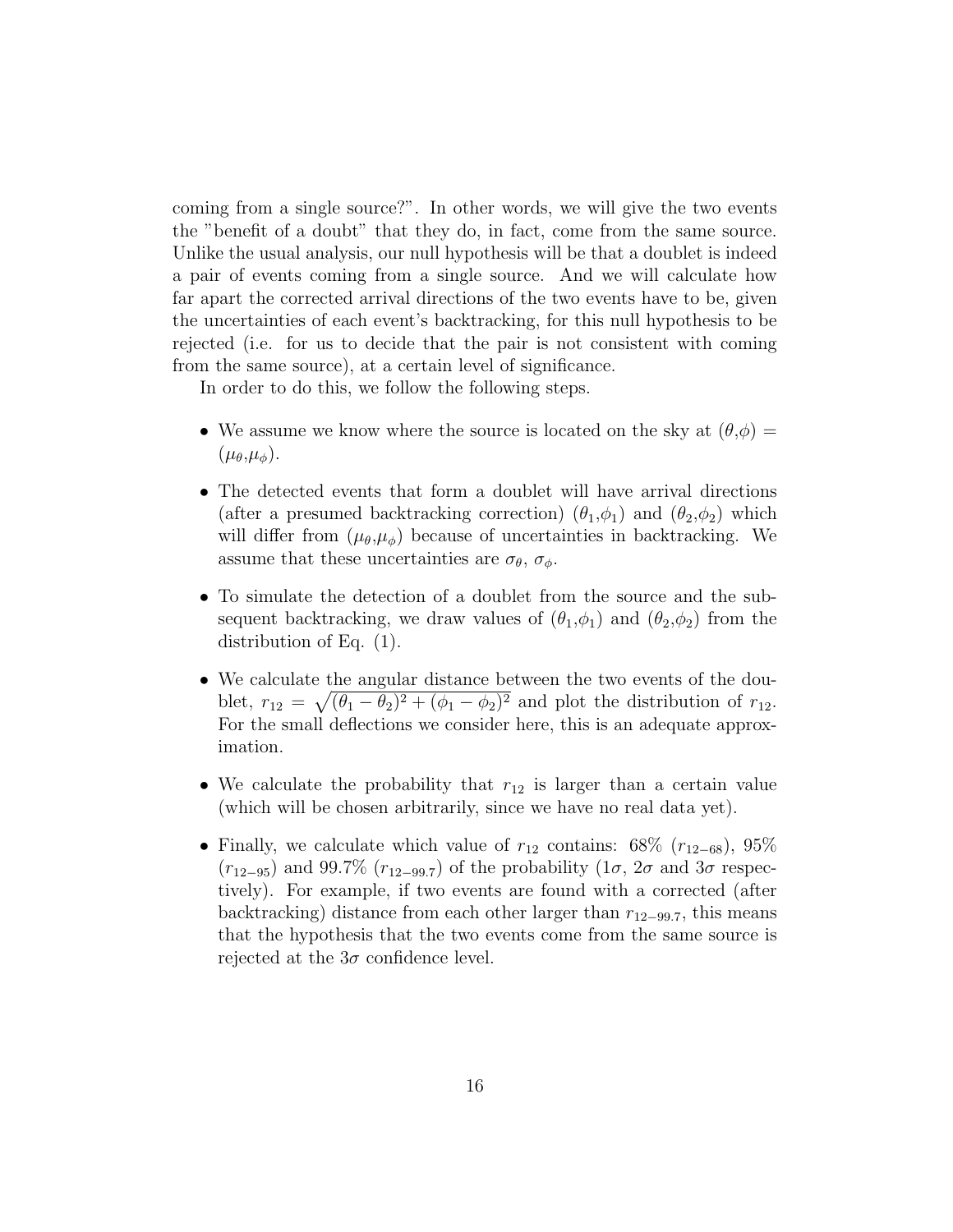coming from a single source?". In other words, we will give the two events the "benefit of a doubt" that they do, in fact, come from the same source. Unlike the usual analysis, our null hypothesis will be that a doublet is indeed a pair of events coming from a single source. And we will calculate how far apart the corrected arrival directions of the two events have to be, given the uncertainties of each event's backtracking, for this null hypothesis to be rejected (i.e. for us to decide that the pair is not consistent with coming from the same source), at a certain level of significance.

In order to do this, we follow the following steps.

- We assume we know where the source is located on the sky at  $(\theta,\phi)$  =  $(\mu_{\theta},\mu_{\phi}).$
- The detected events that form a doublet will have arrival directions (after a presumed backtracking correction)  $(\theta_1,\phi_1)$  and  $(\theta_2,\phi_2)$  which will differ from  $(\mu_{\theta}, \mu_{\phi})$  because of uncertainties in backtracking. We assume that these uncertainties are  $\sigma_{\theta}$ ,  $\sigma_{\phi}$ .
- To simulate the detection of a doublet from the source and the subsequent backtracking, we draw values of  $(\theta_1,\phi_1)$  and  $(\theta_2,\phi_2)$  from the distribution of Eq. [\(1\)](#page-14-1).
- We calculate the angular distance between the two events of the doublet,  $r_{12} = \sqrt{(\theta_1 - \theta_2)^2 + (\phi_1 - \phi_2)^2}$  and plot the distribution of  $r_{12}$ . For the small deflections we consider here, this is an adequate approximation.
- We calculate the probability that  $r_{12}$  is larger than a certain value (which will be chosen arbitrarily, since we have no real data yet).
- Finally, we calculate which value of  $r_{12}$  contains: 68% ( $r_{12-68}$ ), 95%  $(r_{12-95})$  and 99.7%  $(r_{12-99.7})$  of the probability  $(1\sigma, 2\sigma$  and  $3\sigma$  respectively). For example, if two events are found with a corrected (after backtracking) distance from each other larger than  $r_{12-99.7}$ , this means that the hypothesis that the two events come from the same source is rejected at the  $3\sigma$  confidence level.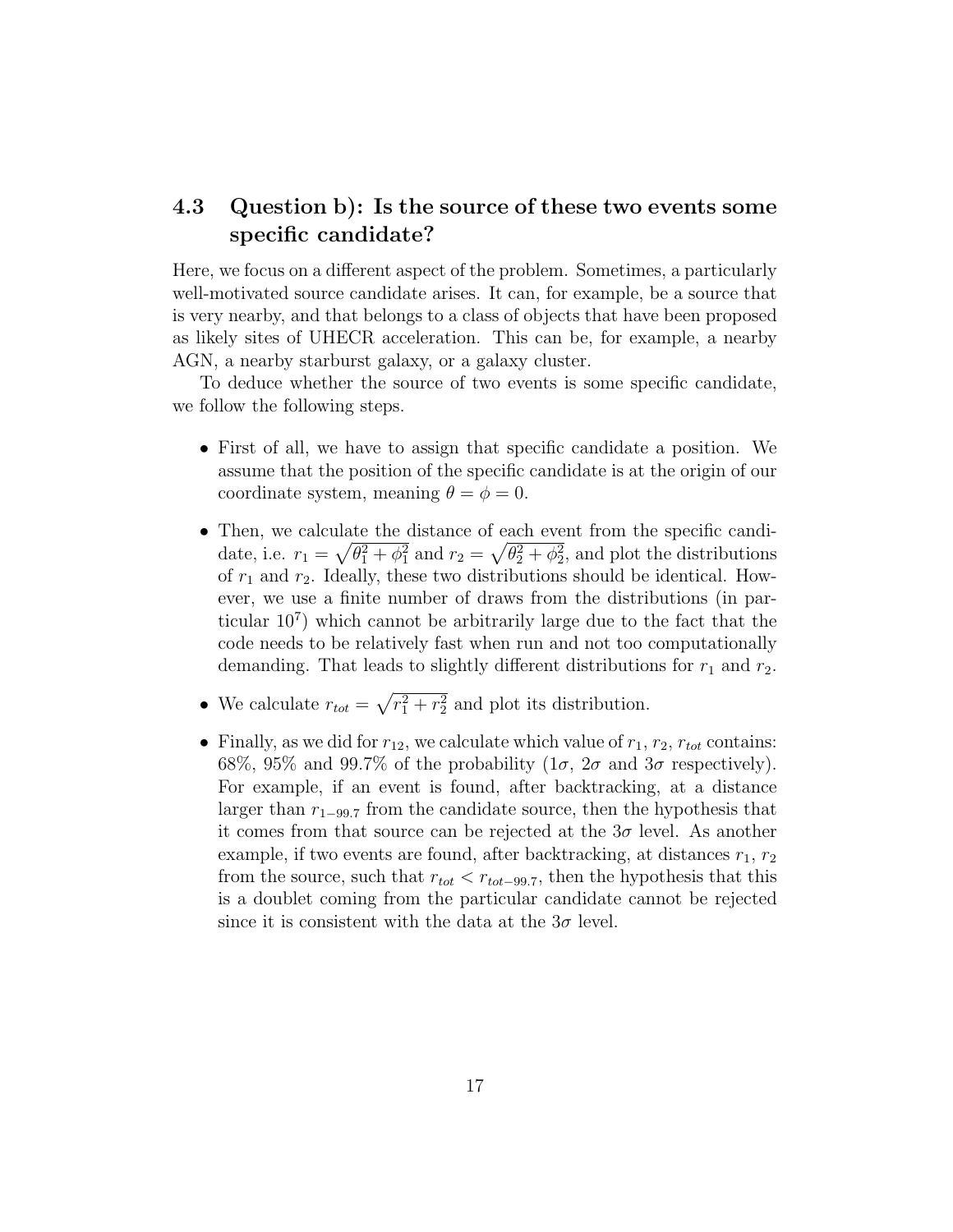### <span id="page-16-0"></span>4.3 Question b): Is the source of these two events some specific candidate?

Here, we focus on a different aspect of the problem. Sometimes, a particularly well-motivated source candidate arises. It can, for example, be a source that is very nearby, and that belongs to a class of objects that have been proposed as likely sites of UHECR acceleration. This can be, for example, a nearby AGN, a nearby starburst galaxy, or a galaxy cluster.

To deduce whether the source of two events is some specific candidate, we follow the following steps.

- First of all, we have to assign that specific candidate a position. We assume that the position of the specific candidate is at the origin of our coordinate system, meaning  $\theta = \phi = 0$ .
- Then, we calculate the distance of each event from the specific candidate, i.e.  $r_1 = \sqrt{\theta_1^2 + \phi_1^2}$  and  $r_2 = \sqrt{\theta_2^2 + \phi_2^2}$ , and plot the distributions of  $r_1$  and  $r_2$ . Ideally, these two distributions should be identical. However, we use a finite number of draws from the distributions (in particular 10<sup>7</sup> ) which cannot be arbitrarily large due to the fact that the code needs to be relatively fast when run and not too computationally demanding. That leads to slightly different distributions for  $r_1$  and  $r_2$ .
- We calculate  $r_{tot} = \sqrt{r_1^2 + r_2^2}$  and plot its distribution.
- Finally, as we did for  $r_{12}$ , we calculate which value of  $r_1$ ,  $r_2$ ,  $r_{tot}$  contains: 68%, 95% and 99.7% of the probability  $(1\sigma, 2\sigma \text{ and } 3\sigma \text{ respectively}).$ For example, if an event is found, after backtracking, at a distance larger than  $r_{1-99.7}$  from the candidate source, then the hypothesis that it comes from that source can be rejected at the  $3\sigma$  level. As another example, if two events are found, after backtracking, at distances  $r_1, r_2$ from the source, such that  $r_{tot} < r_{tot-99.7}$ , then the hypothesis that this is a doublet coming from the particular candidate cannot be rejected since it is consistent with the data at the  $3\sigma$  level.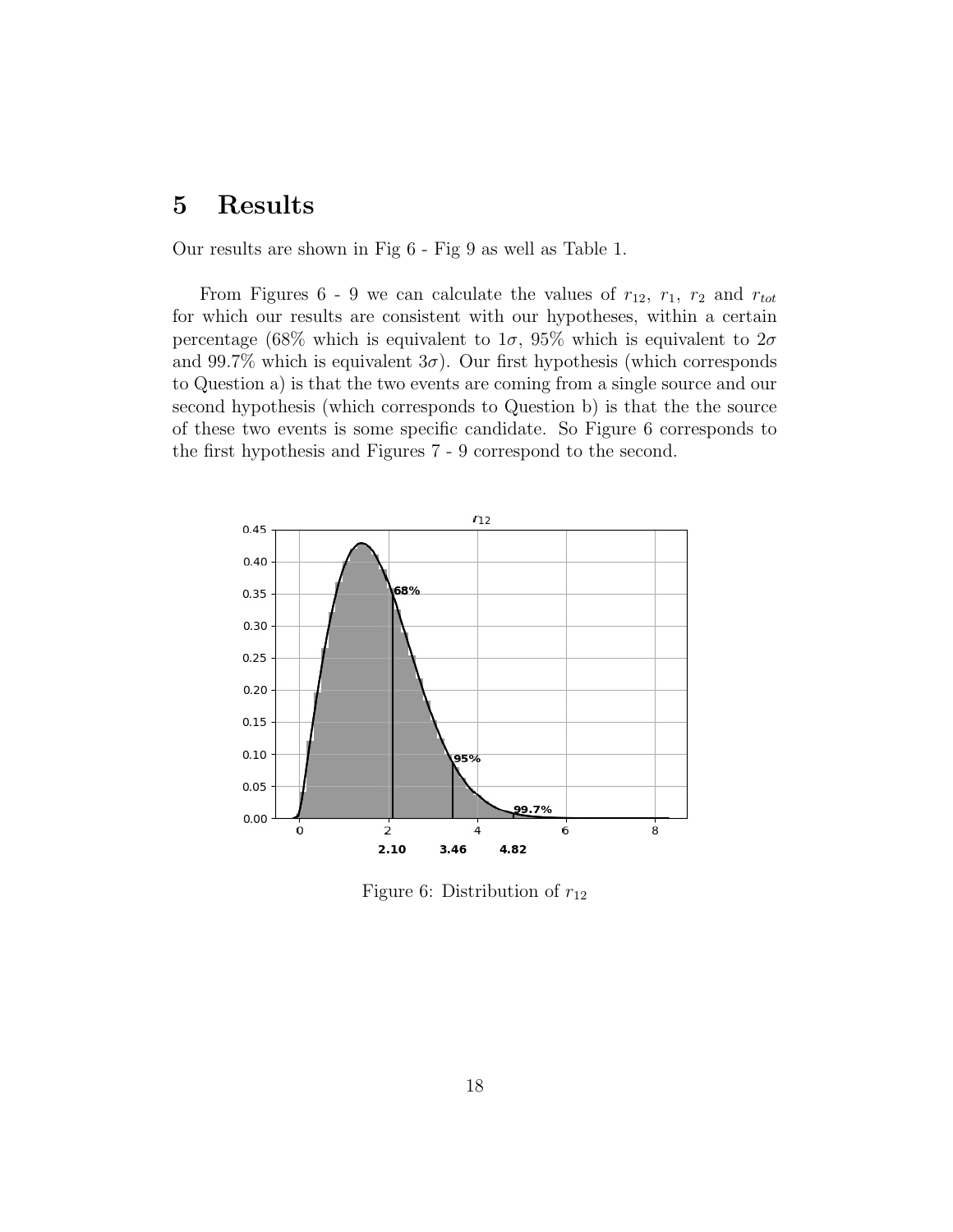## <span id="page-17-0"></span>5 Results

Our results are shown in Fig [6](#page-17-1) - Fig [9](#page-19-0) as well as Table [1.](#page-19-1)

From Figures [6](#page-17-1) - [9](#page-19-0) we can calculate the values of  $r_{12}$ ,  $r_1$ ,  $r_2$  and  $r_{tot}$ for which our results are consistent with our hypotheses, within a certain percentage (68% which is equivalent to  $1\sigma$ , 95% which is equivalent to  $2\sigma$ and 99.7% which is equivalent  $3\sigma$ ). Our first hypothesis (which corresponds to Question a) is that the two events are coming from a single source and our second hypothesis (which corresponds to Question b) is that the the source of these two events is some specific candidate. So Figure [6](#page-17-1) corresponds to the first hypothesis and Figures [7](#page-18-0) - [9](#page-19-0) correspond to the second.



<span id="page-17-1"></span>Figure 6: Distribution of  $r_{12}$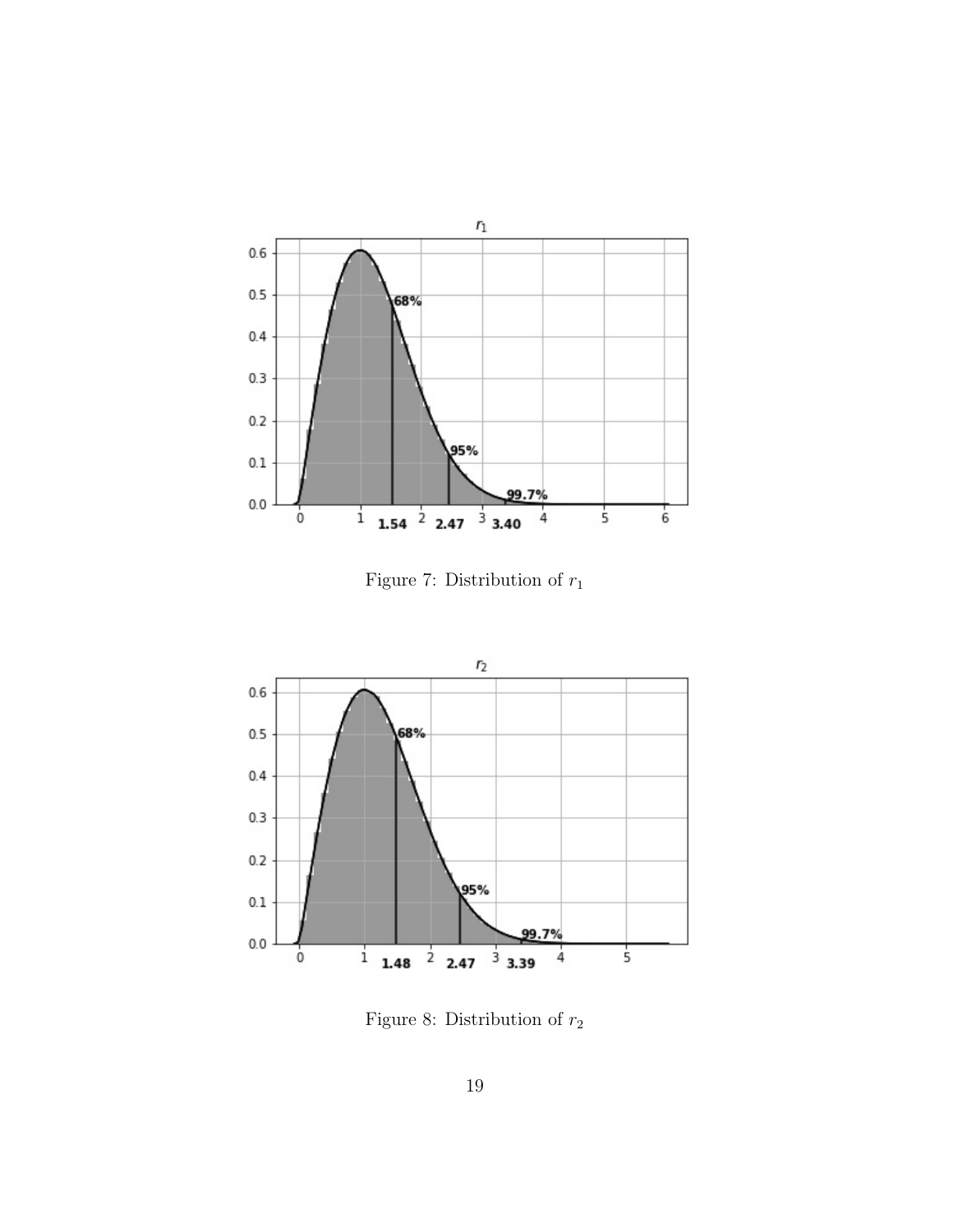

<span id="page-18-0"></span>Figure 7: Distribution of  $r_1$ 



<span id="page-18-1"></span>Figure 8: Distribution of  $r_{\rm 2}$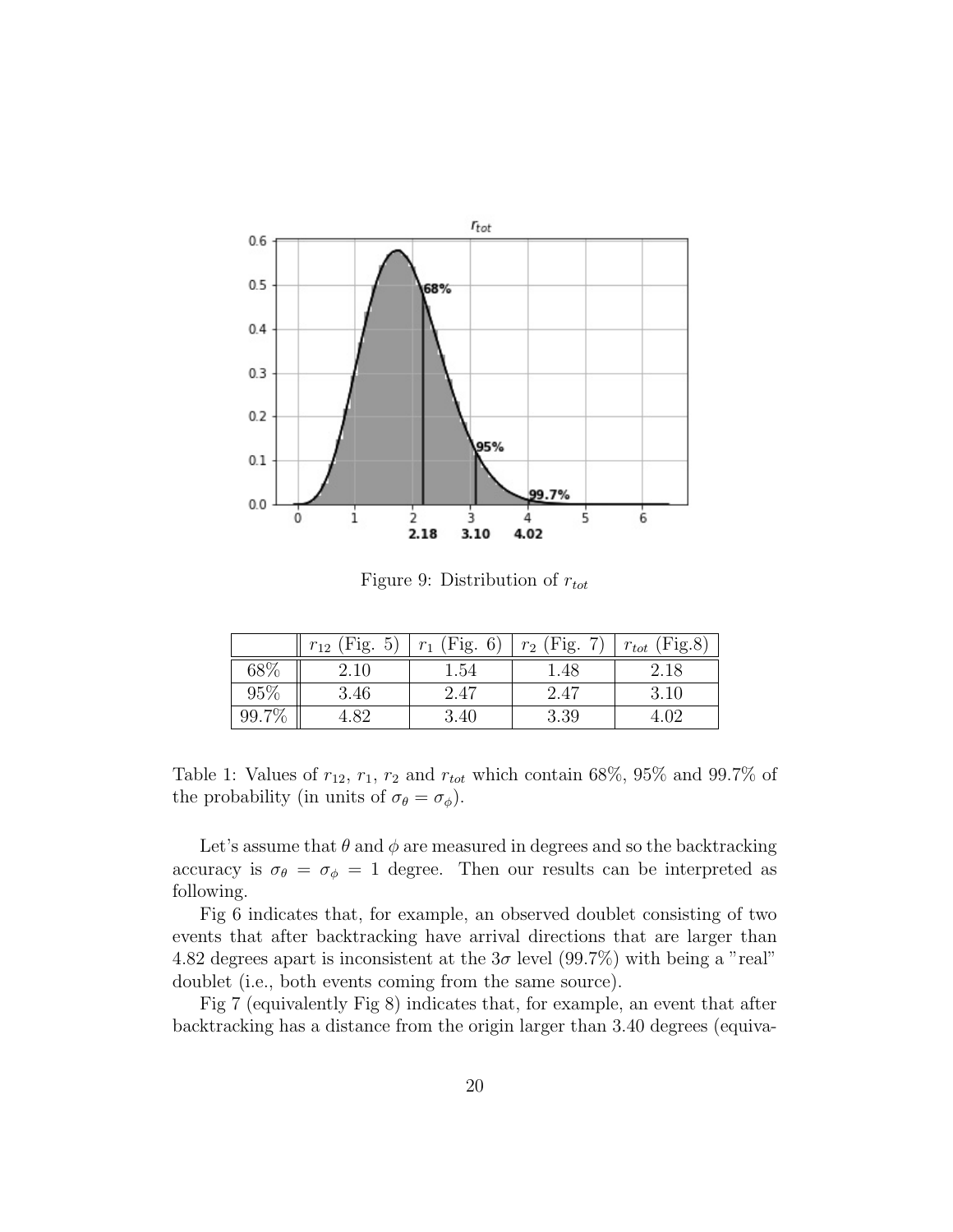

<span id="page-19-0"></span>Figure 9: Distribution of  $r_{tot}$ 

|     | (Fig. 5)<br>$r_{12}$ | $r_1$ (Fig. 6) | $r_2$ (Fig. 7) | (Fig.8)<br>$r_{tot}$ |
|-----|----------------------|----------------|----------------|----------------------|
| 68% | 2.10                 | 1.54           | 1.48           | 2.18                 |
| 95% | 3.46                 | 2.47           | 2.47           | 3.10                 |
|     |                      | 3.40           | 3.39           | 4.02                 |

<span id="page-19-1"></span>Table 1: Values of  $r_{12}$ ,  $r_1$ ,  $r_2$  and  $r_{tot}$  which contain 68%, 95% and 99.7% of the probability (in units of  $\sigma_{\theta} = \sigma_{\phi}$ ).

Let's assume that  $\theta$  and  $\phi$  are measured in degrees and so the backtracking accuracy is  $\sigma_{\theta} = \sigma_{\phi} = 1$  degree. Then our results can be interpreted as following.

Fig [6](#page-17-1) indicates that, for example, an observed doublet consisting of two events that after backtracking have arrival directions that are larger than 4.82 degrees apart is inconsistent at the  $3\sigma$  level (99.7%) with being a "real" doublet (i.e., both events coming from the same source).

Fig [7](#page-18-0) (equivalently Fig [8\)](#page-18-1) indicates that, for example, an event that after backtracking has a distance from the origin larger than 3.40 degrees (equiva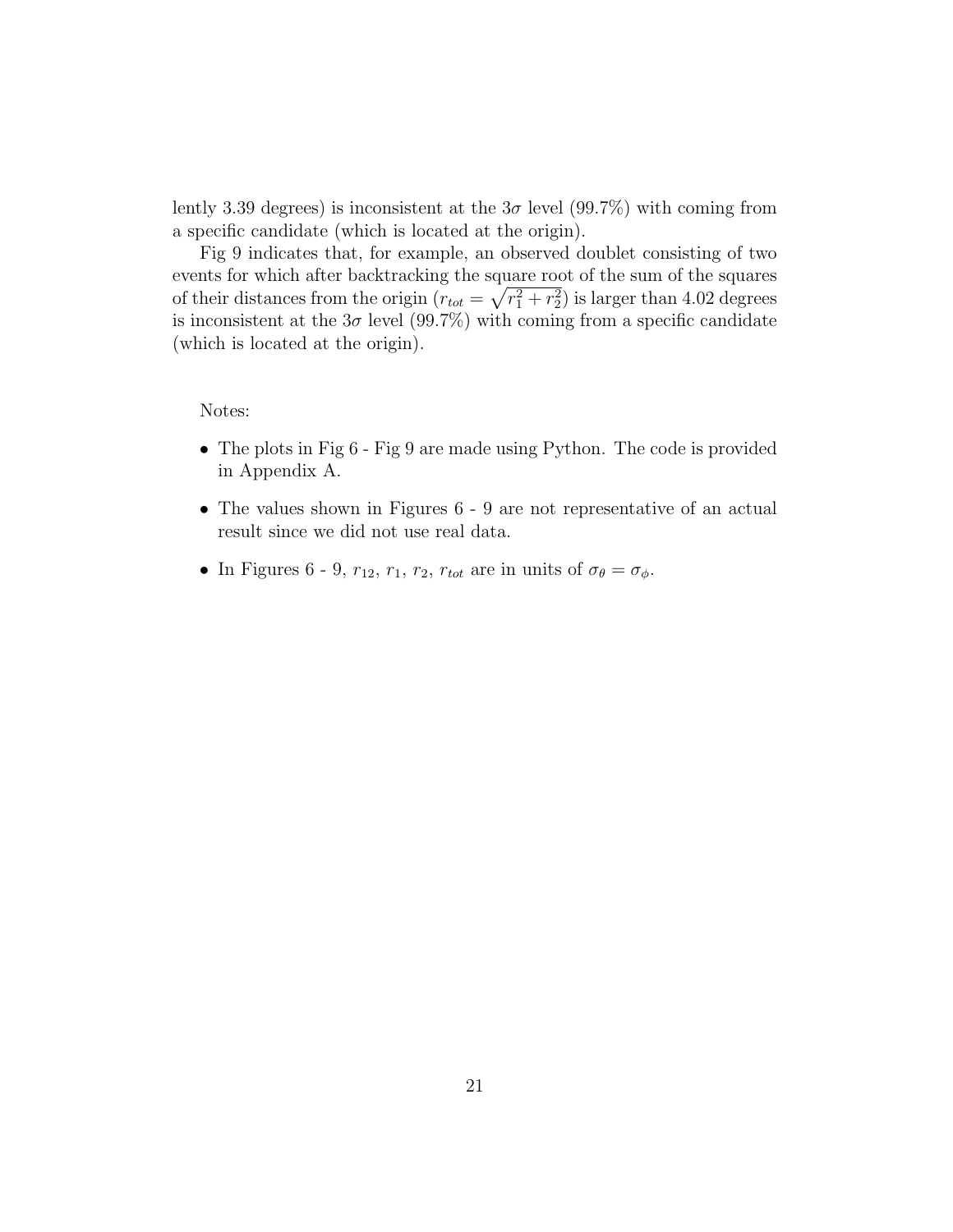lently 3.39 degrees) is inconsistent at the  $3\sigma$  level (99.7%) with coming from a specific candidate (which is located at the origin).

Fig [9](#page-19-0) indicates that, for example, an observed doublet consisting of two events for which after backtracking the square root of the sum of the squares of their distances from the origin  $(r_{tot} = \sqrt{r_1^2 + r_2^2})$  is larger than 4.02 degrees is inconsistent at the  $3\sigma$  level (99.7%) with coming from a specific candidate (which is located at the origin).

#### Notes:

- The plots in Fig [6](#page-17-1) Fig [9](#page-19-0) are made using Python. The code is provided in Appendix A.
- The values shown in Figures [6](#page-17-1) [9](#page-19-0) are not representative of an actual result since we did not use real data.
- In Figures [6](#page-17-1) [9,](#page-19-0)  $r_{12}$ ,  $r_1$ ,  $r_2$ ,  $r_{tot}$  are in units of  $\sigma_{\theta} = \sigma_{\phi}$ .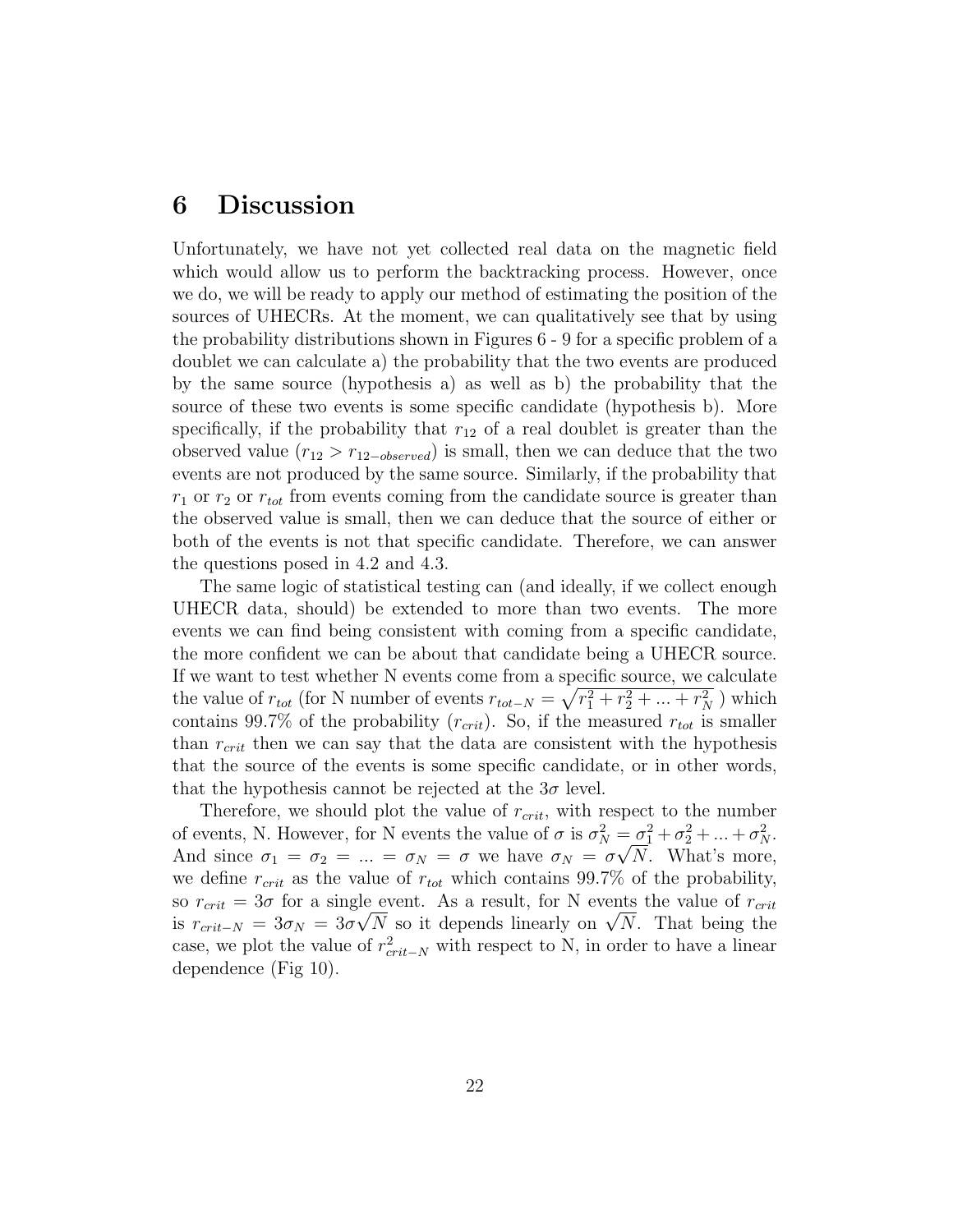## <span id="page-21-0"></span>6 Discussion

Unfortunately, we have not yet collected real data on the magnetic field which would allow us to perform the backtracking process. However, once we do, we will be ready to apply our method of estimating the position of the sources of UHECRs. At the moment, we can qualitatively see that by using the probability distributions shown in Figures [6](#page-17-1) - [9](#page-19-0) for a specific problem of a doublet we can calculate a) the probability that the two events are produced by the same source (hypothesis a) as well as b) the probability that the source of these two events is some specific candidate (hypothesis b). More specifically, if the probability that  $r_{12}$  of a real doublet is greater than the observed value  $(r_{12} > r_{12-observed})$  is small, then we can deduce that the two events are not produced by the same source. Similarly, if the probability that  $r_1$  or  $r_2$  or  $r_{tot}$  from events coming from the candidate source is greater than the observed value is small, then we can deduce that the source of either or both of the events is not that specific candidate. Therefore, we can answer the questions posed in [4.2](#page-14-0) and [4.3.](#page-16-0)

The same logic of statistical testing can (and ideally, if we collect enough UHECR data, should) be extended to more than two events. The more events we can find being consistent with coming from a specific candidate, the more confident we can be about that candidate being a UHECR source. If we want to test whether N events come from a specific source, we calculate the value of  $r_{tot}$  (for N number of events  $r_{tot-N} = \sqrt{r_1^2 + r_2^2 + ... + r_N^2}$ ) which contains 99.7% of the probability  $(r_{crit})$ . So, if the measured  $r_{tot}$  is smaller than  $r_{crit}$  then we can say that the data are consistent with the hypothesis that the source of the events is some specific candidate, or in other words, that the hypothesis cannot be rejected at the  $3\sigma$  level.

Therefore, we should plot the value of  $r_{crit}$ , with respect to the number of events, N. However, for N events the value of  $\sigma$  is  $\sigma_N^2 = \sigma_1^2 + \sigma_2^2 + \ldots + \sigma_N^2$ . And since  $\sigma_1 = \sigma_2 = ... = \sigma_N = \sigma$  we have  $\sigma_N = \sigma \sqrt{N}$ . What's more, we define  $r_{crit}$  as the value of  $r_{tot}$  which contains 99.7% of the probability, so  $r_{crit} = 3\sigma$  for a single event. As a result, for N events the value of  $r_{crit}$ so  $r_{crit} = 3\sigma$  for a single event. As a result, for N events the value of  $r_{crit}$ <br>is  $r_{crit-N} = 3\sigma_N = 3\sigma\sqrt{N}$  so it depends linearly on  $\sqrt{N}$ . That being the case, we plot the value of  $r_{crit-N}^2$  with respect to N, in order to have a linear dependence (Fig [10\)](#page-22-0).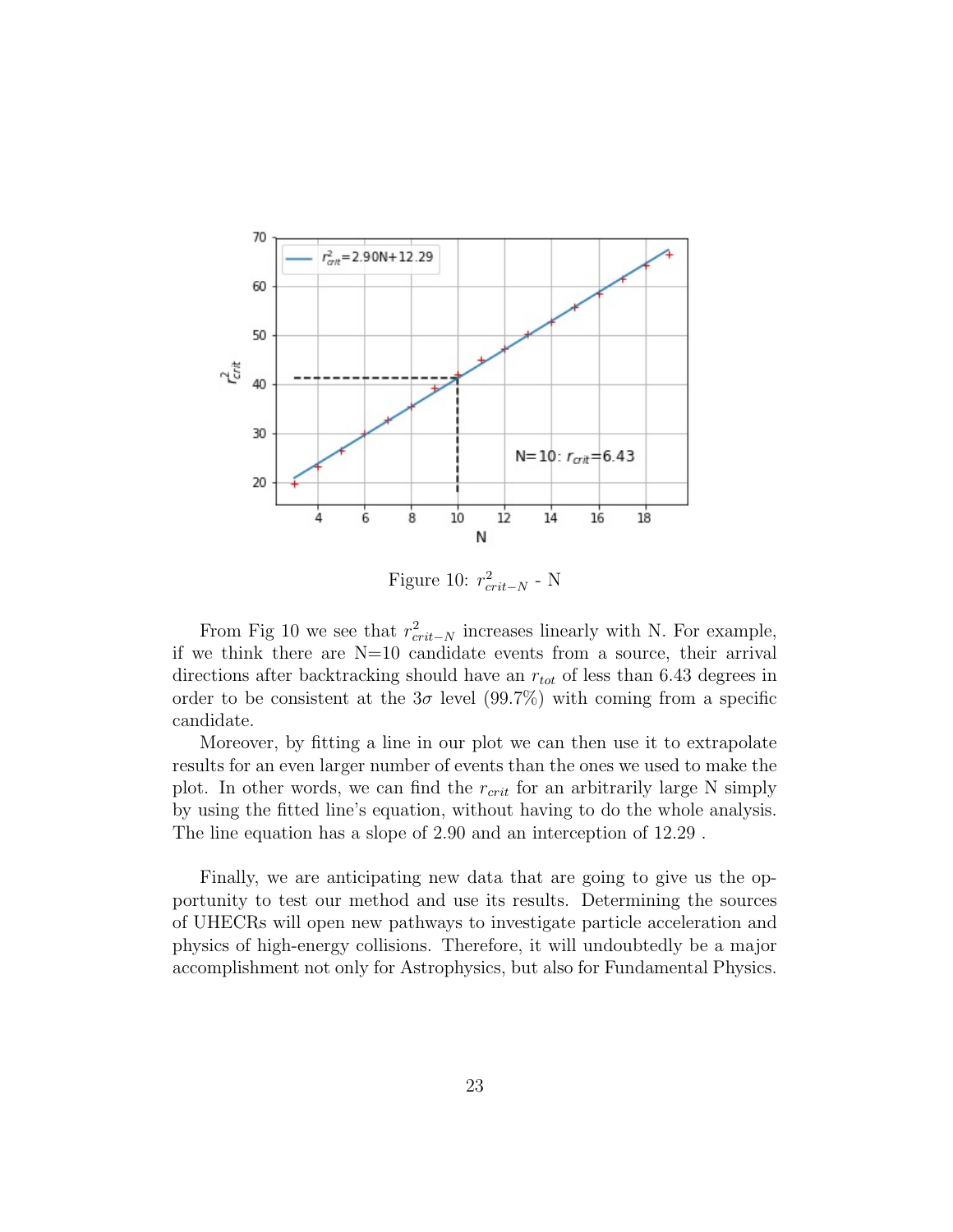

<span id="page-22-0"></span>Figure 10:  $r_{crit-N}^2$  - N

From Fig [10](#page-22-0) we see that  $r_{crit-N}^2$  increases linearly with N. For example, if we think there are  $N=10$  candidate events from a source, their arrival directions after backtracking should have an  $r_{tot}$  of less than 6.43 degrees in order to be consistent at the  $3\sigma$  level (99.7%) with coming from a specific candidate.

Moreover, by fitting a line in our plot we can then use it to extrapolate results for an even larger number of events than the ones we used to make the plot. In other words, we can find the  $r_{crit}$  for an arbitrarily large N simply by using the fitted line's equation, without having to do the whole analysis. The line equation has a slope of 2.90 and an interception of 12.29 .

Finally, we are anticipating new data that are going to give us the opportunity to test our method and use its results. Determining the sources of UHECRs will open new pathways to investigate particle acceleration and physics of high-energy collisions. Therefore, it will undoubtedly be a major accomplishment not only for Astrophysics, but also for Fundamental Physics.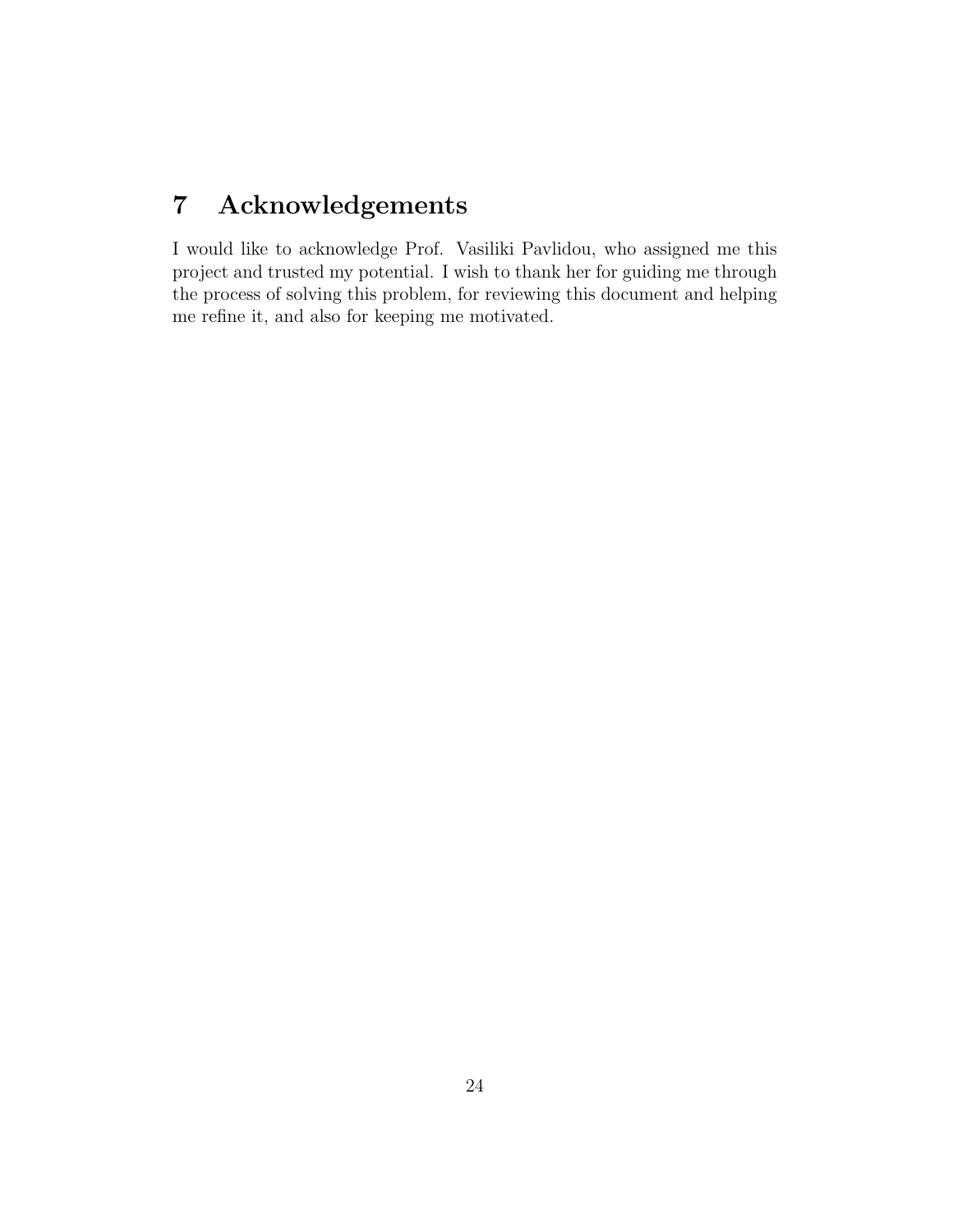## <span id="page-23-0"></span>7 Acknowledgements

I would like to acknowledge Prof. Vasiliki Pavlidou, who assigned me this project and trusted my potential. I wish to thank her for guiding me through the process of solving this problem, for reviewing this document and helping me refine it, and also for keeping me motivated.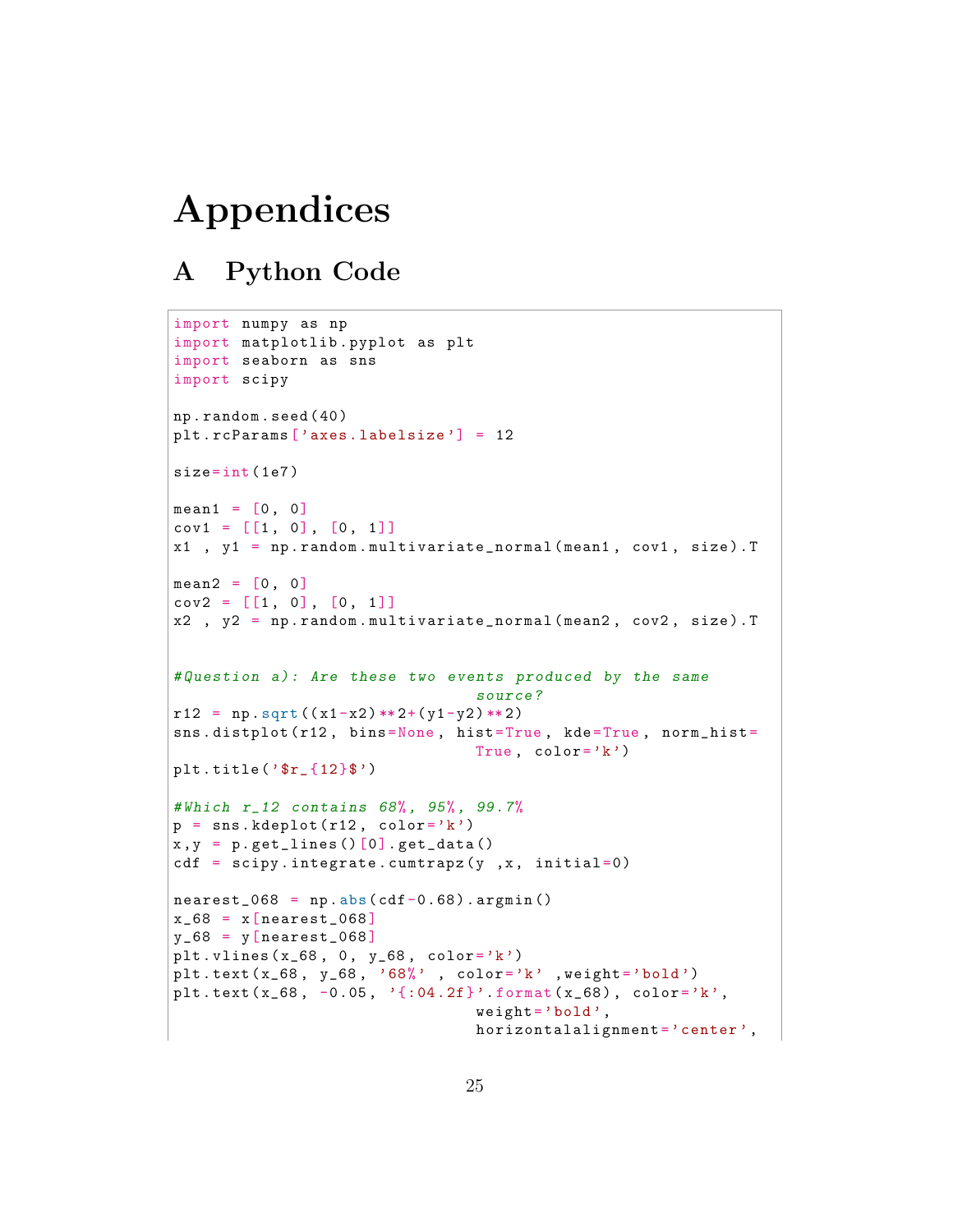# Appendices

## <span id="page-24-0"></span>A Python Code

```
import numpy as np
import matplotlib . pyplot as plt
import seaborn as sns
import scipy
np . random . seed ( 40 )
plt . rcParams ['axes . labelsize'] = 12
size = int(1e7)mean1 = [0, 0]cov1 = [[1, 0], [0, 1]]x1, y1 = np.random.multivariate-normal (mean1, cov1, size).Tmean2 = [0, 0]cov2 = [[1, 0], [0, 1]]x2 , y2 = np . random . multivariate_normal ( mean2 , cov2 , size ) . T
# Question a): Are these two events produced by the same
                                 source ?
r12 = np \tcdot sqrt((x1-x2) ** 2+(y1-y2) ** 2)sns.distplot (r12, bins=None, hist=True, kde=True, norm_hist=
                                 True, color='k')plt . title ('$r_{12}$')
# Which r_12 contains 68%, 95%, 99.7%
p = sns. kdeplot (r12, color='k')
x, y = p.\text{get}lines ()[0]. get_data ()
cdf = scipy.integrate.cumtrapz(y, x, initial=0)nearest_068 = np.abs(cdf-0.68).argmin()x_68 = x[nearest_068]y_68 = y[nearest_068]plt. vlines (x_68, 0, y_68, color='k')plt.text (x_68, y_68, '68)', color='k' , weight='bold')
plt.text(x_68, -0.05, '{:04.2f}'.format(x_68), color='k',
                                 weight = 'bold',
                                 horizontalalignment = 'center',
```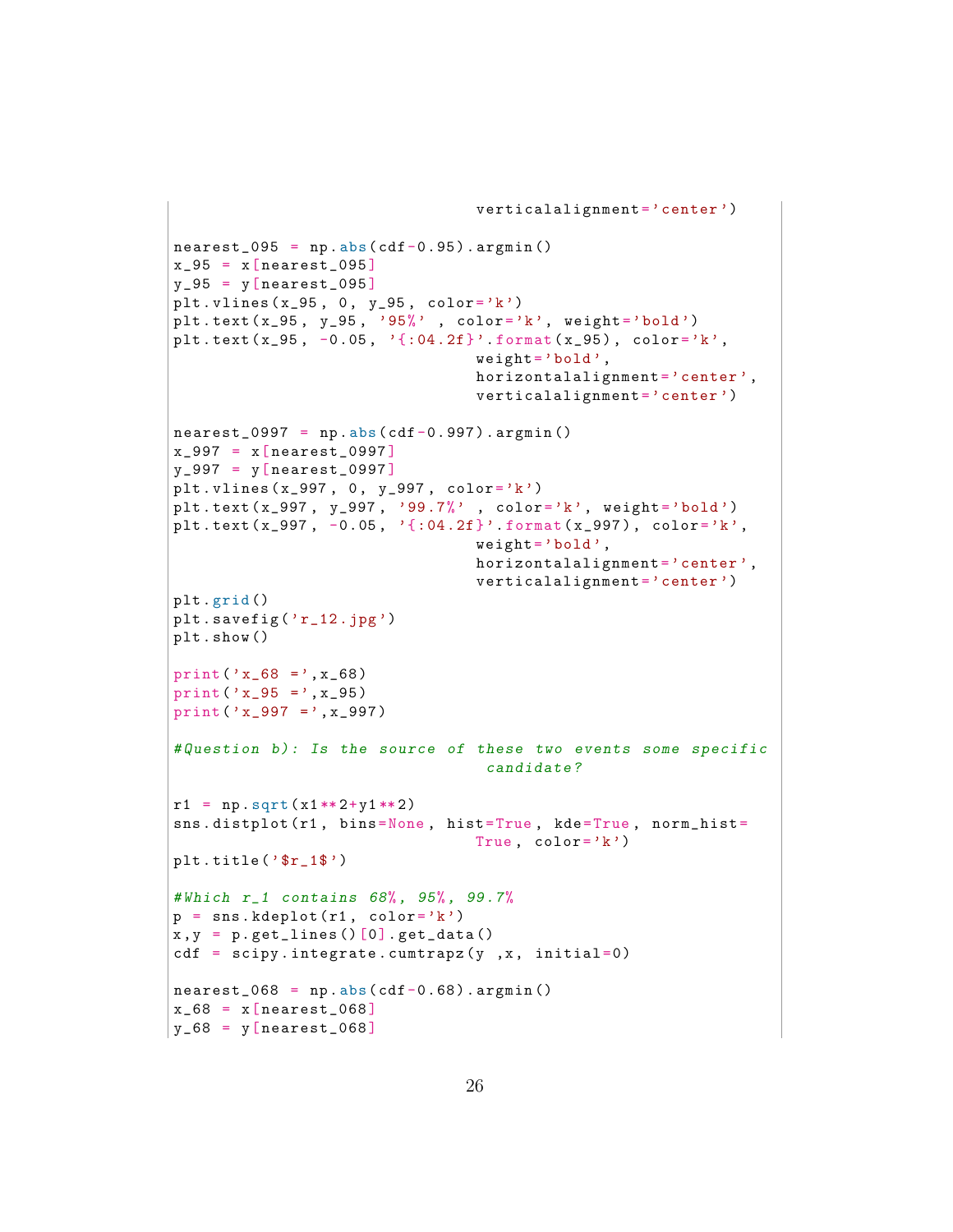```
verticalalignment = 'center')
nearest_095 = np.abs(cdf-0.95).argmin()x_95 = x[nearest_095]y_95 = y[nearest_095]plt. vlines (x_95, 0, y_95, color='k')plt.text (x_95, y_95, '95)', color='k', weight='bold')
plt.text (x_95, -0.05, ':04.2f}'.format (x_95), color='k',
                                 weight = 'bold',
                                 horizontalalignment = 'center',
                                 verticalalignment = 'center')
nearest_0997 = np.abs(cdf-0.997).argmin()x_997 = x[nearest_0997]y_997 = y[ nearest_0997 ]
plt. vlines (x_997, 0, y_997, color='k')plt.text (x_997, y_997, '99.7)', color='k', weight='bold')
plt.text (x_997, -0.05, ' {:04.2f}'.format (x_997), color='k',
                                 weight = 'bold',
                                horizontalalignment = 'center',
                                 verticalalignment = 'center')
plt . grid ()
plt.savefig('r_12.jpg')
plt . show ()
print ('x_68 =', x_68)
print ('x_95 =', x_95)
print ('x_997 =', x_997 )
# Question b): Is the source of these two events some specific
                                  candidate ?
r1 = np \tcdot sqrt(x1**2+y1**2)sns.distplot (r1, bins=None, hist=True, kde=True, norm_hist=
                                True, color='k')plt.title('$r_1$')# Which r_1 contains 68%, 95%, 99.7%
p =sns. kdeplot (r1, color='k')x, y = p.\text{get} lines () [0]. get _data ()
cdf = scipy.integrate.cumtrapz(y, x, initial=0)nearest_068 = np.abs(cdf-0.68).argmin()x_68 = x[nearest_068]y_68 = y[nearest_068]
```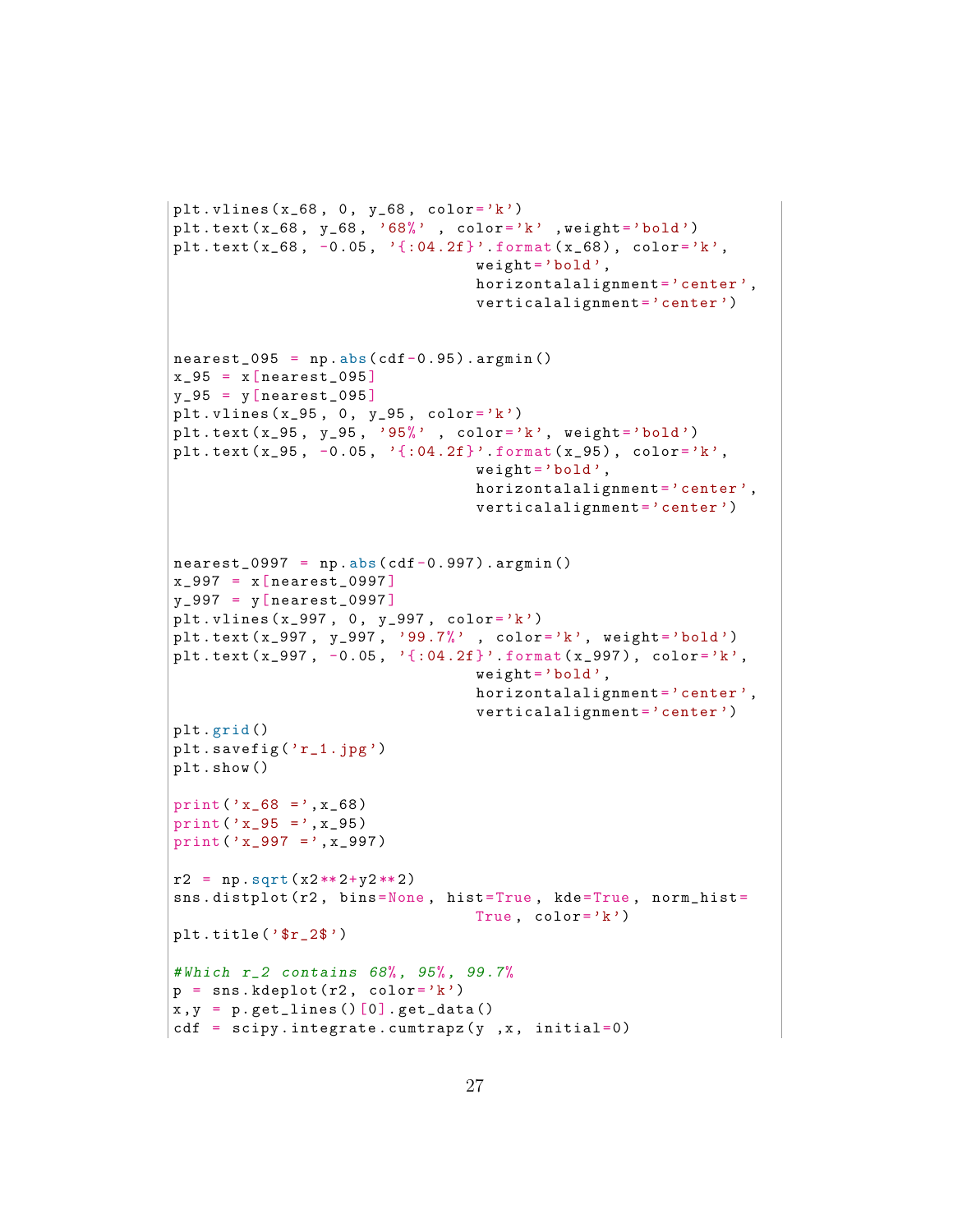```
plt. vlines (x_68, 0, y_68, color='k')plt . text ( x_68 , y_68 , '68%' , color ='k' , weight ='bold ')
plt.text(x_68, -0.05, '{:04.2f}'.format(x_68), color='k',
                                 weight = 'bold',
                                 horizontalalignment = 'center',
                                 verticalalignment = 'center')
nearest_095 = np.abs(cdf-0.95).argmin()x_95 = x[nearest_095]y_95 = y[nearest_095]plt vlines (x_95, 0, y_95, color='k')
plt.text(x_95, y_95, '95%' , color='k', weight='bold')
plt.text(x_95, -0.05, '{:04.2f}'.format(x_95), color='k',
                                 weight = 'bold',
                                 horizontalalignment = 'center',
                                 verticalalignment = 'center')
nearest_0997 = np.abs(cdf-0.997).argmin()x_997 = x[nearest_0997]y_997 = y[nearest_0997]plt. vlines (x_997, 0, y_997, color='k')plt.text (x_997, y_997, '99.7)', color='k', weight='bold')
plt.text (x_997, -0.05, '{:04.2f}' format (x_997), color='k',
                                 weight = 'bold',
                                 horizontalalignment = 'center',
                                 verticalalignment = 'center')
plt . grid ()
plt.savefig('r_1.jpg')
plt . show ()
print ('x_68 = 'x_68)
print ('x_95 = ',x_95)print('x_997 =', x_997)r2 = np \tcdot sqrt(x2**2+y2**2)sns.distplot (r2, bins=None, hist=True, kde=True, norm_hist=
                                True, color='k')plt.title('$r_2$')# Which r_2 contains 68%, 95%, 99.7%
p =sns. kdeplot (r2, color='k')
x, y = p.\text{getlines()}[0].\text{get_data()}cdf = scipy.integrate.cumtrapz(y, x, initial=0)
```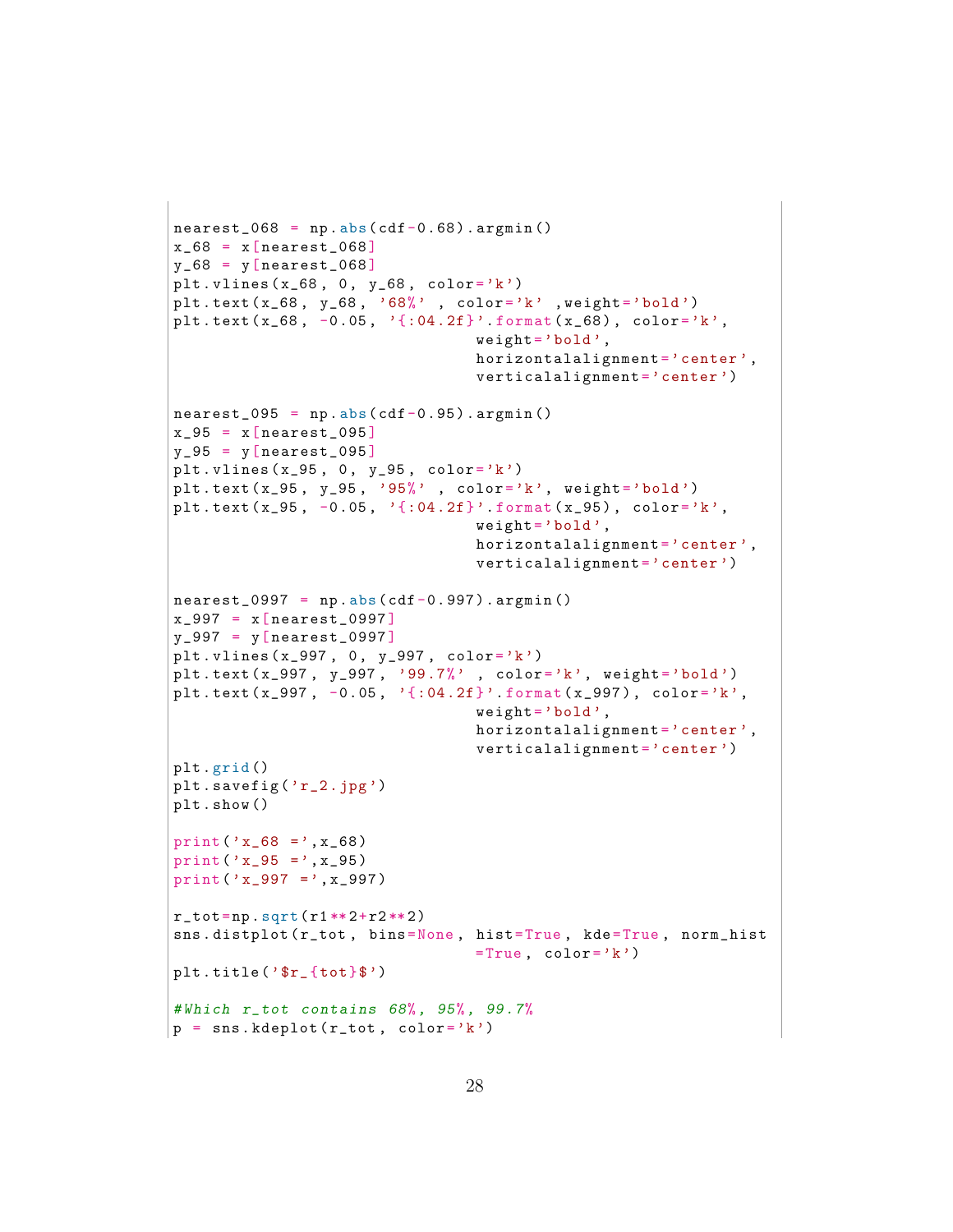```
nearest_068 = np.abs(cdf-0.68).argmin()x_68 = x[nearest_068]y_68 = y[nearest_068]plt . vlines (x_68, 0, y_68, color='k')plt . text ( x_68 , y_68 , '68%' , color ='k' , weight ='bold ')
plt.text(x_68, -0.05, '{:04.2f}'.format(x_68), color='k',
                                 weight = 'bold',
                                 horizontalalignment = 'center',
                                 verticalalignment = 'center')
nearest_095 = np.abs(cdf-0.95) . argmin()x_95 = x[nearest_095]y_95 = y[nearest_095]plt. vlines (x_95, 0, y_95, color='k')plt.text (x_95, y_95, '95)', color='k', weight='bold')
plt.text (x_95, -0.05, '{:04.2f}'.format (x_95), color='k',
                                 weight = 'bold',
                                 horizontalalignment = 'center',
                                 verticalalignment = 'center')
nearest_0997 = np.abs(cdf-0.997).argmin()x_{-}997 = x[nearest_{0}997]y_997 = y[ nearest_0997 ]
plt . vlines ( x_997 , 0 , y_997 , color ='k')
plt.text (x_997, y_997, '99.7)', color='k', weight='bold')
plt.text (x_997, -0.05, ':04.2f}'.format (x_997), color='k',
                                 weight = 'bold',
                                 horizontalalignment = 'center',
                                 verticalalignment='center')
plt . grid ()
plt.savefig('r_2.jpg')
plt . show ()
print ('x_68 = ',x_68)print('x_95 = ',x_95)print('x_997 = ', x_997)r_{\texttt{tot}} = np \cdot sqrt(r1**2+r2**2)sns.distplot (r_tot, bins=None, hist=True, kde=True, norm_hist
                                 =True, color='k')plt . title ('$r_{tot}$')
# Which r_tot contains 68%, 95%, 99.7%
p = sns. kdeplot (r_t, \text{color} = 'k')
```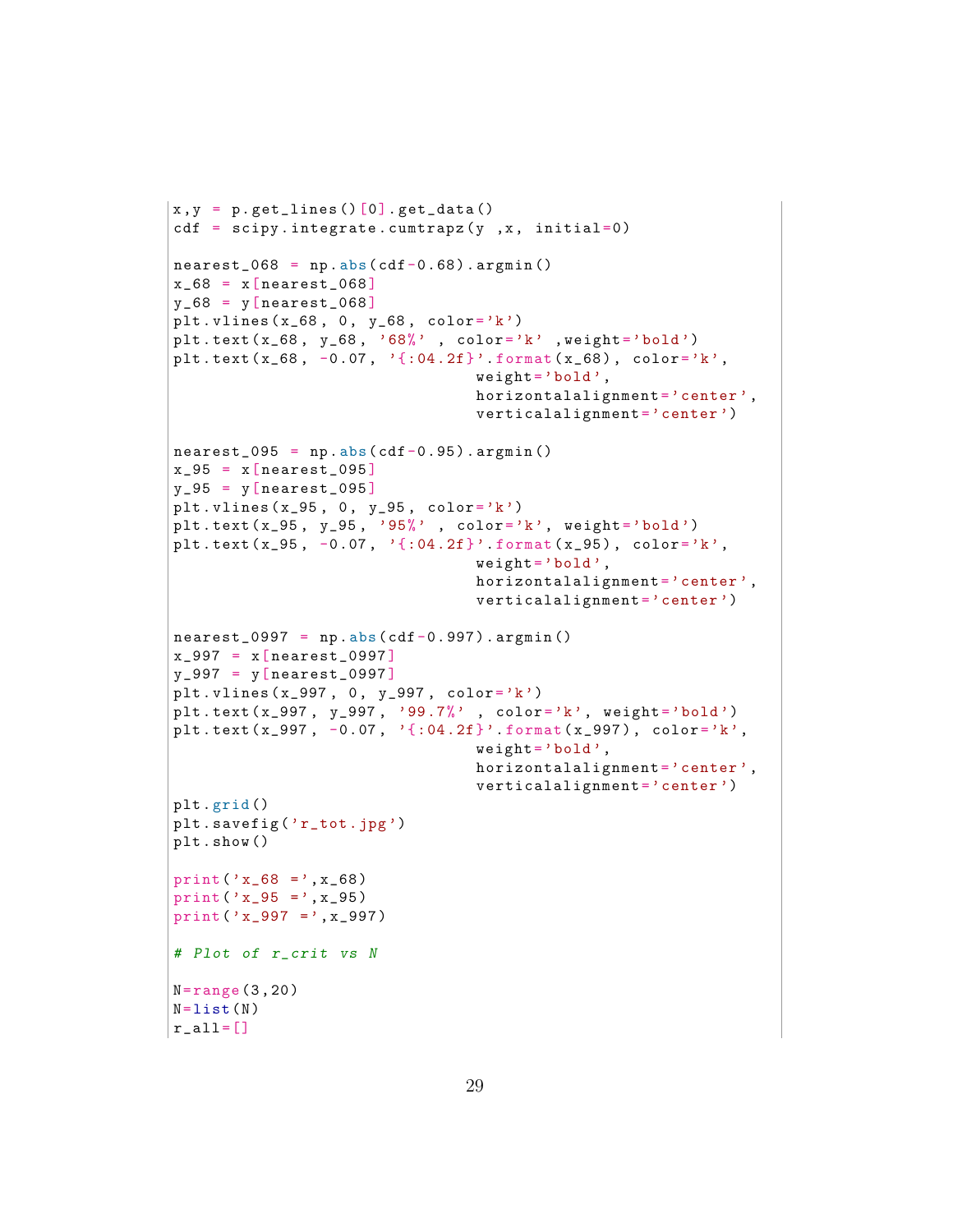```
x, y = p.\text{get}lines ()[0].get_data()
cdf = scipy.integrate.cumtrapz(y, x, initial=0)nearest_068 = np.abs(cdf-0.68).argmin()x_68 = x[nearest_068]y_68 = y[nearest_068]plt. vlines (x_68, 0, y_68, color='k')plt.text (x_68, y_68, '68)', color='k' , weight='bold')
plt.text (x_68, -0.07, ' : 04.2f , format (x_68), color='k',
                                 weight = 'bold',
                                 horizontalalignment = 'center',
                                 verticalalignment = 'center')
nearest_095 = np.abs(cdf-0.95).argmin()x_95 = x[nearest_095]y_95 = y[nearest_095]plt . vlines (x_95, 0, y_95, color='k')plt.text (x_95, y_95, '95)', \text{color} = 'k', weight = 'bold')
plt.text (x_95, -0.07, ':04.2f}'.format (x_95), color='k',
                                 weight = 'bold',
                                 horizontalalignment = 'center',
                                 verticalalignment = 'center')
nearest_0997 = np.abs(cdf-0.997).argmin()x_997 = x[nearest_0997]y_997 = y[ nearest_0997 ]
plt. vlines (x_997, 0, y_997, color='k')plt.text (x_997, y_997, '99.7)', color='k', weight='bold')plt.text (x_997, -0.07, ' {:04.2f}'.format (x_997), color='k',
                                 weight = 'bold',
                                 horizontalalignment = 'center',
                                 verticalalignment='center')
plt . grid ()
plt . savefig ('r_tot .jpg ')
plt . show ()
print ('x_68 =', x_68)
print ('x_95 =', x_95)
print ('x_997 =', x_997)
# Plot of r_crit vs N
N = range(3, 20)N=list (N)r_all = []
```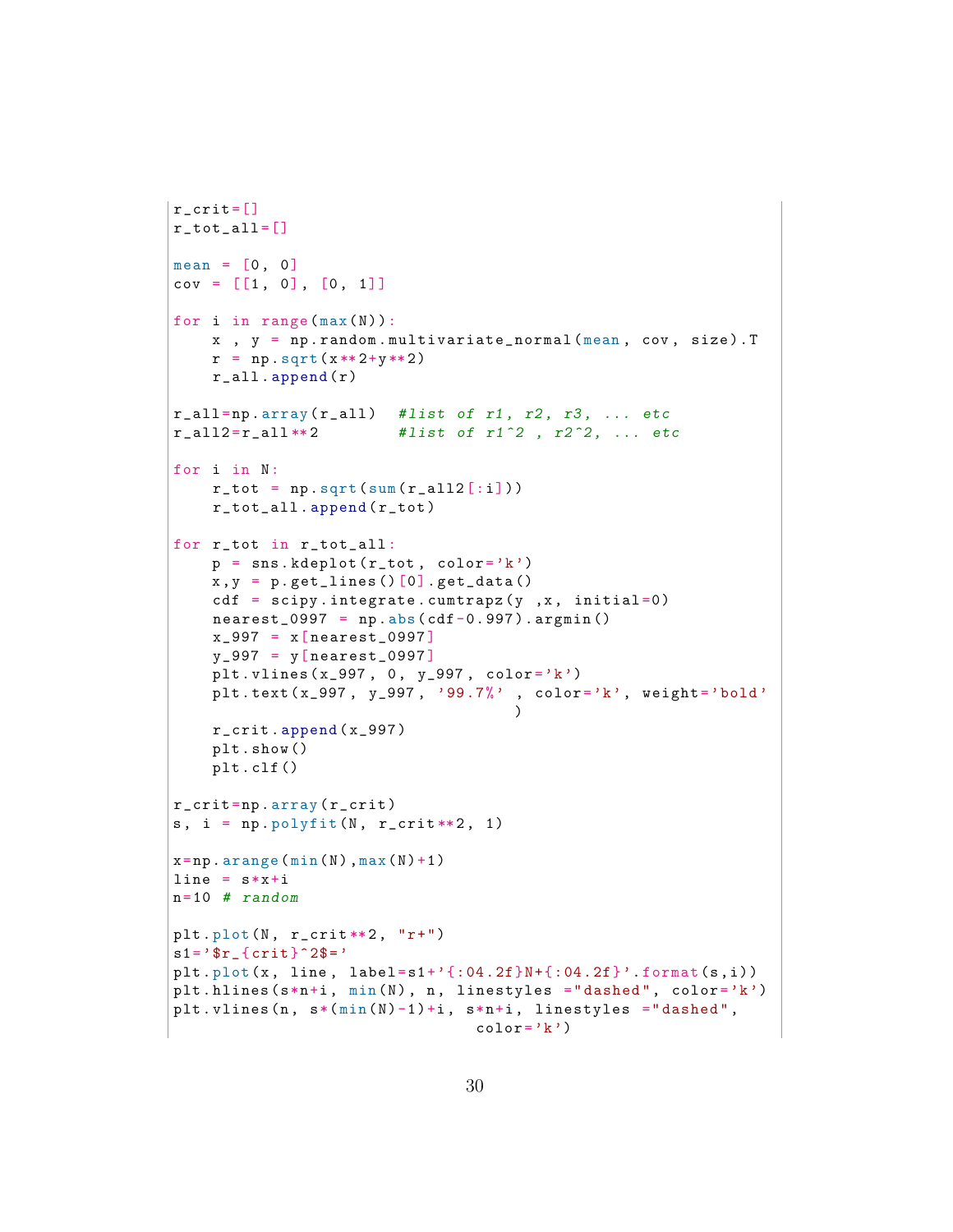```
r_ccrit = []
r_tot_all = []mean = [0, 0]cov = [1, 0], [0, 1]for i in range (max(N)):
    x, y = np.random.multivariate\_normal(mean, cov, size).Tr = np \tcdot sqrt(x**2+y**2)r<sup>2</sup>ll . append (r)r<sup>-all=np.array</sub> (r<sup>-all</sub>) #list of r1, r2, r3, ... etc</sup></sup>
r_{all2} = r_{all} \ast r_{2} #list of r_{1}<sup>2</sup>, r_{2}<sup>2</sup>, ... etc
for i in N:
    r_{\texttt{tot}} = np \cdot sqrt(sum(r_{\texttt{all2}[i]}) )r_tot_all . append ( r_tot )
for r_tot in r_tot_all :
    p =sns. kdeplot (r_t, color = 'k')x, y = p.get_lines()[0].get_data()cdf = scipy.integrate.cumtrapz(y, x, initial=0)nearest_0997 = np.abs(cdf-0.997).argmin()x_997 = x[nearest_0997]y_997 = y[ nearest_0997 ]
    plt. vlines (x_997, 0, y_997, color='k')plt.text (x_997, y_997, '99.7)', color='k', weight='bold'
                                         \lambdar_crit . append ( x_997 )
    plt . show ()
    plt . clf ()
r_crit =np . array ( r_crit )
s, i = np.polyfit(N, r_ccrit**2, 1)x=np \cdot \text{arange}(\min(N), \max(N)+1)line = s * x + in=10 # randomplt.plot(N, r_ccrit**2, "r+")s1 = ' r_{f} crit } ^{\circ}2\ = '
plt . plot (x, line, label=s1+' {:04.2f}N+{:04.2f}' . format (s, i))
plt. hlines (s*n+i, min(N), n, linestyles = "dashed", color='k')plt. vlines (n, s*(min(N)-1)+i, s*n+i, linestyles = "dashed",color='k')
```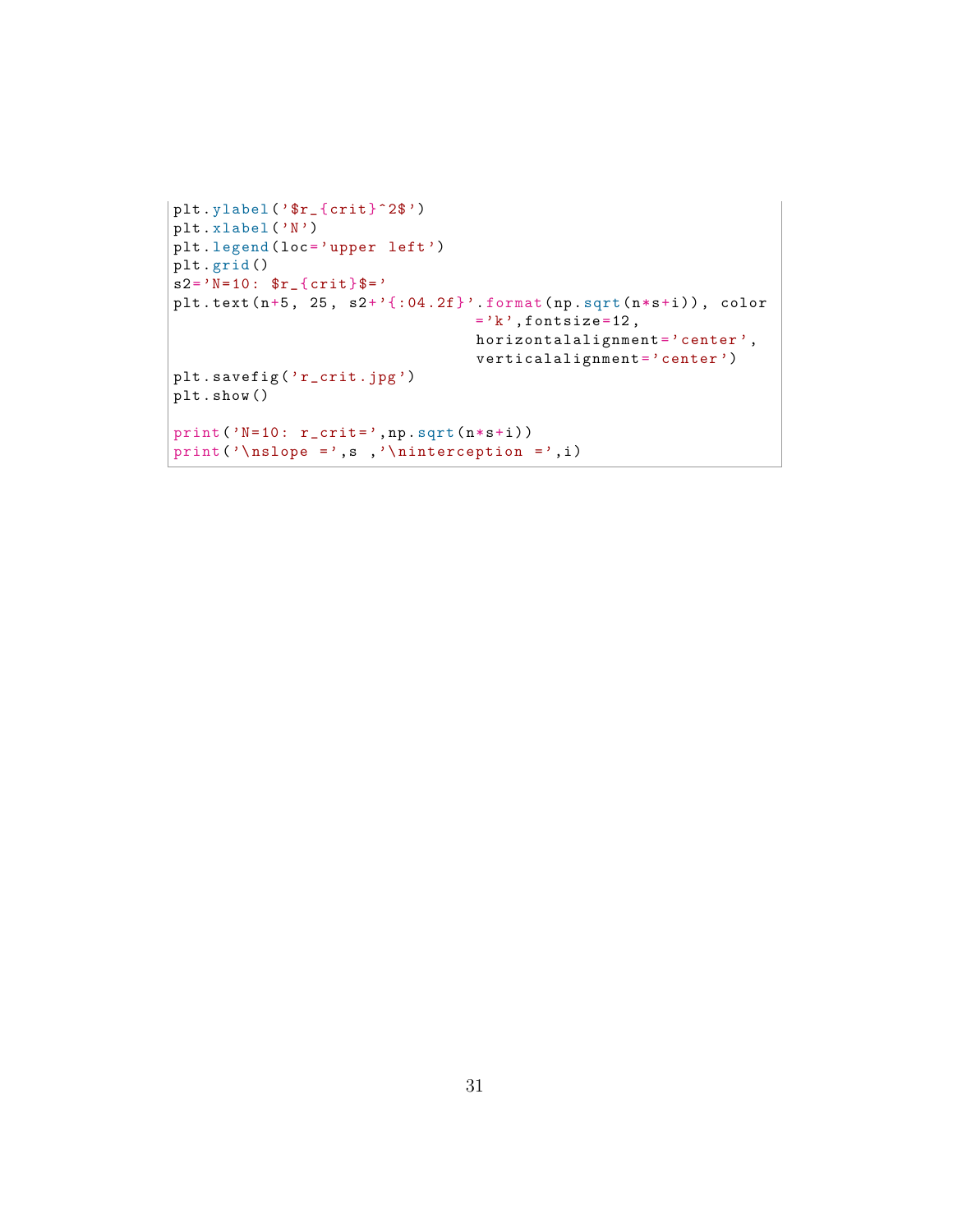```
plt.ylabel('$r_{crit}^2$')
plt . xlabel ('N')
plt.legend (loc='upper left')
plt . grid ()
s2 = 'N=10: \frac{8r}{r} { crit } \frac{8}{r} = '
plt.text (n+5, 25, s2+' {:04.2f}'.format (np.sqrt(n*s+i)), color
                                   ='k', fontsize=12,
                                   horizontalalignment = 'center',
                                   verticalalignment = 'center')plt.savefig('r_crit.jpg')
plt . show ()
print ('N=10: r_crit=',np.sqrt(n*s+i))
print ('\ nslope =',s ,'\ ninterception =',i )
```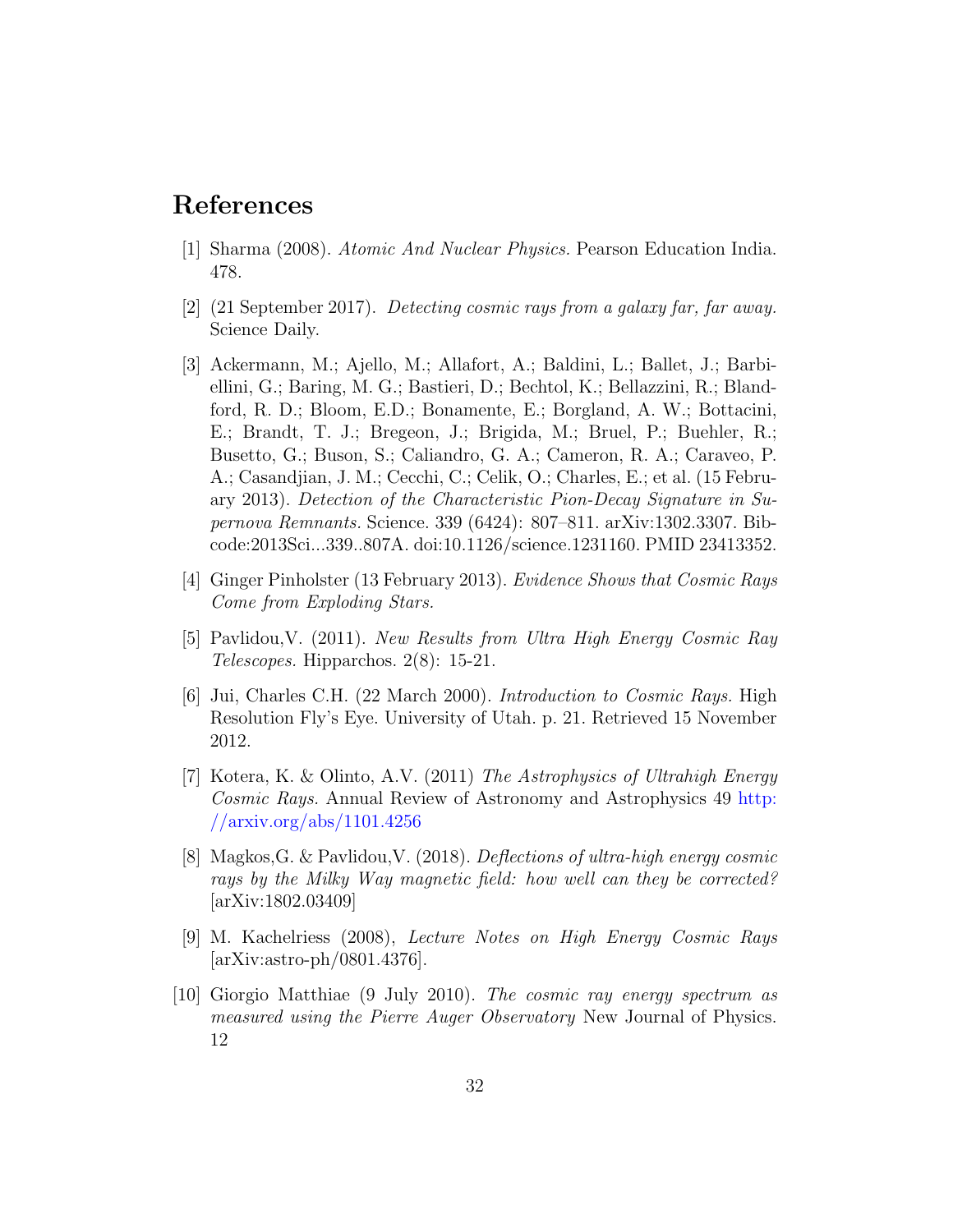## References

- <span id="page-31-0"></span>[1] Sharma (2008). Atomic And Nuclear Physics. Pearson Education India. 478.
- <span id="page-31-1"></span>[2] (21 September 2017). Detecting cosmic rays from a galaxy far, far away. Science Daily.
- <span id="page-31-2"></span>[3] Ackermann, M.; Ajello, M.; Allafort, A.; Baldini, L.; Ballet, J.; Barbiellini, G.; Baring, M. G.; Bastieri, D.; Bechtol, K.; Bellazzini, R.; Blandford, R. D.; Bloom, E.D.; Bonamente, E.; Borgland, A. W.; Bottacini, E.; Brandt, T. J.; Bregeon, J.; Brigida, M.; Bruel, P.; Buehler, R.; Busetto, G.; Buson, S.; Caliandro, G. A.; Cameron, R. A.; Caraveo, P. A.; Casandjian, J. M.; Cecchi, C.; Celik, O.; Charles, E.; et al. (15 February 2013). Detection of the Characteristic Pion-Decay Signature in Supernova Remnants. Science. 339 (6424): 807–811. arXiv:1302.3307. Bibcode:2013Sci...339..807A. doi:10.1126/science.1231160. PMID 23413352.
- <span id="page-31-3"></span>[4] Ginger Pinholster (13 February 2013). Evidence Shows that Cosmic Rays Come from Exploding Stars.
- <span id="page-31-7"></span>[5] Pavlidou,V. (2011). New Results from Ultra High Energy Cosmic Ray Telescopes. Hipparchos. 2(8): 15-21.
- <span id="page-31-8"></span>[6] Jui, Charles C.H. (22 March 2000). Introduction to Cosmic Rays. High Resolution Fly's Eye. University of Utah. p. 21. Retrieved 15 November 2012.
- <span id="page-31-6"></span>[7] Kotera, K. & Olinto, A.V. (2011) The Astrophysics of Ultrahigh Energy Cosmic Rays. Annual Review of Astronomy and Astrophysics 49 [http:](http://arxiv.org/abs/1101.4256) [//arxiv.org/abs/1101.4256](http://arxiv.org/abs/1101.4256)
- <span id="page-31-4"></span>[8] Magkos,G. & Pavlidou,V. (2018). Deflections of ultra-high energy cosmic rays by the Milky Way magnetic field: how well can they be corrected? [arXiv:1802.03409]
- <span id="page-31-9"></span>[9] M. Kachelriess (2008), Lecture Notes on High Energy Cosmic Rays [arXiv:astro-ph/0801.4376].
- <span id="page-31-5"></span>[10] Giorgio Matthiae (9 July 2010). The cosmic ray energy spectrum as measured using the Pierre Auger Observatory New Journal of Physics. 12